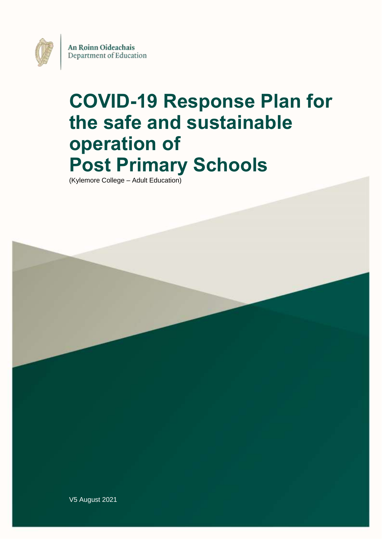An Roinn Oideachais Department of Education

# **COVID-19 Response Plan for the safe and sustainable operation of Post Primary Schools**

(Kylemore College – Adult Education)



V5 August 2021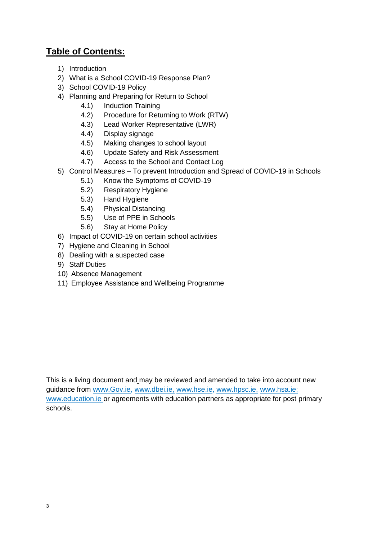# **Table of Contents:**

- 1) Introduction
- 2) What is a School COVID-19 Response Plan?
- 3) School COVID-19 Policy
- 4) Planning and Preparing for Return to School
	- 4.1) Induction Training
	- 4.2) Procedure for Returning to Work (RTW)
	- 4.3) Lead Worker Representative (LWR)
	- 4.4) Display signage
	- 4.5) Making changes to school layout
	- 4.6) Update Safety and Risk Assessment
	- 4.7) Access to the School and Contact Log
- 5) Control Measures To prevent Introduction and Spread of COVID-19 in Schools
	- 5.1) Know the Symptoms of COVID-19
	- 5.2) Respiratory Hygiene
	- 5.3) Hand Hygiene
	- 5.4) Physical Distancing
	- 5.5) Use of PPE in Schools
	- 5.6) Stay at Home Policy
- 6) Impact of COVID-19 on certain school activities
- 7) Hygiene and Cleaning in School
- 8) Dealing with a suspected case
- 9) Staff Duties
- 10) Absence Management
- 11) Employee Assistance and Wellbeing Programme

This is a living document and may be reviewed and amended to take into account new guidance from [www.Gov.ie,](http://www.gov.ie/) [www.dbei.ie,](http://www.dbei.ie/) [www.hse.ie,](http://www.hse.ie/) [www.hpsc.ie,](http://www.hpsc.ie/) [www.hsa.ie;](http://www.hsa.ie/) [www.education.ie](http://www.education.ie/) or agreements with education partners as appropriate for post primary schools.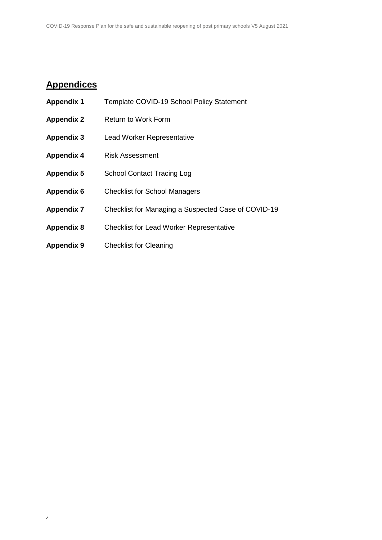# **Appendices**

| <b>Appendix 1</b> | Template COVID-19 School Policy Statement           |
|-------------------|-----------------------------------------------------|
| <b>Appendix 2</b> | <b>Return to Work Form</b>                          |
| <b>Appendix 3</b> | <b>Lead Worker Representative</b>                   |
| <b>Appendix 4</b> | <b>Risk Assessment</b>                              |
| <b>Appendix 5</b> | <b>School Contact Tracing Log</b>                   |
| <b>Appendix 6</b> | <b>Checklist for School Managers</b>                |
| <b>Appendix 7</b> | Checklist for Managing a Suspected Case of COVID-19 |
| <b>Appendix 8</b> | <b>Checklist for Lead Worker Representative</b>     |
| <b>Appendix 9</b> | <b>Checklist for Cleaning</b>                       |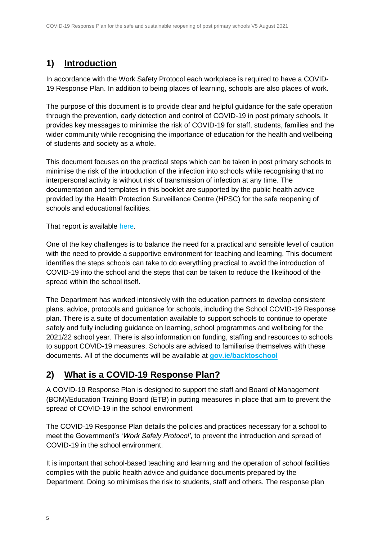# **1) Introduction**

In accordance with the Work Safety Protocol each workplace is required to have a COVID-19 Response Plan. In addition to being places of learning, schools are also places of work.

The purpose of this document is to provide clear and helpful guidance for the safe operation through the prevention, early detection and control of COVID-19 in post primary schools. It provides key messages to minimise the risk of COVID-19 for staff, students, families and the wider community while recognising the importance of education for the health and wellbeing of students and society as a whole.

This document focuses on the practical steps which can be taken in post primary schools to minimise the risk of the introduction of the infection into schools while recognising that no interpersonal activity is without risk of transmission of infection at any time. The documentation and templates in this booklet are supported by the public health advice provided by the Health Protection Surveillance Centre (HPSC) for the safe reopening of schools and educational facilities.

That report is available [here.](https://assets.gov.ie/82096/38b543b3-3245-4227-8f6a-7a167e684adb.pdf)

One of the key challenges is to balance the need for a practical and sensible level of caution with the need to provide a supportive environment for teaching and learning. This document identifies the steps schools can take to do everything practical to avoid the introduction of COVID-19 into the school and the steps that can be taken to reduce the likelihood of the spread within the school itself.

The Department has worked intensively with the education partners to develop consistent plans, advice, protocols and guidance for schools, including the School COVID-19 Response plan. There is a suite of documentation available to support schools to continue to operate safely and fully including guidance on learning, school programmes and wellbeing for the 2021/22 school year. There is also information on funding, staffing and resources to schools to support COVID-19 measures. Schools are advised to familiarise themselves with these documents. All of the documents will be available at **[gov.ie/backtoschool](http://www.gov.ie/backtoschool)**

# **2) What is a COVID-19 Response Plan?**

A COVID-19 Response Plan is designed to support the staff and Board of Management (BOM)/Education Training Board (ETB) in putting measures in place that aim to prevent the spread of COVID-19 in the school environment

The COVID-19 Response Plan details the policies and practices necessary for a school to meet the Government's '*Work Safely Protocol'*, to prevent the introduction and spread of COVID-19 in the school environment.

It is important that school-based teaching and learning and the operation of school facilities complies with the public health advice and guidance documents prepared by the Department. Doing so minimises the risk to students, staff and others. The response plan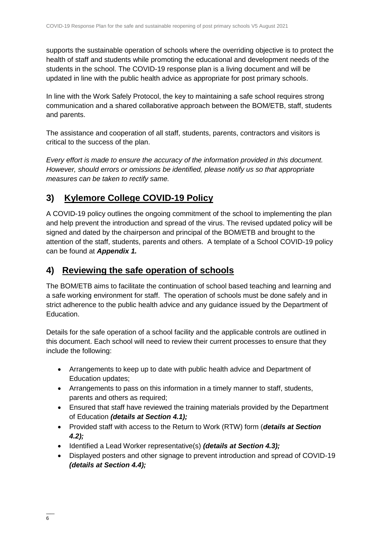supports the sustainable operation of schools where the overriding objective is to protect the health of staff and students while promoting the educational and development needs of the students in the school. The COVID-19 response plan is a living document and will be updated in line with the public health advice as appropriate for post primary schools.

In line with the Work Safely Protocol, the key to maintaining a safe school requires strong communication and a shared collaborative approach between the BOM/ETB, staff, students and parents.

The assistance and cooperation of all staff, students, parents, contractors and visitors is critical to the success of the plan.

*Every effort is made to ensure the accuracy of the information provided in this document. However, should errors or omissions be identified, please notify us so that appropriate measures can be taken to rectify same.*

# **3) Kylemore College COVID-19 Policy**

A COVID-19 policy outlines the ongoing commitment of the school to implementing the plan and help prevent the introduction and spread of the virus. The revised updated policy will be signed and dated by the chairperson and principal of the BOM/ETB and brought to the attention of the staff, students, parents and others. A template of a School COVID-19 policy can be found at *Appendix 1.*

### **4) Reviewing the safe operation of schools**

The BOM/ETB aims to facilitate the continuation of school based teaching and learning and a safe working environment for staff. The operation of schools must be done safely and in strict adherence to the public health advice and any guidance issued by the Department of Education.

Details for the safe operation of a school facility and the applicable controls are outlined in this document. Each school will need to review their current processes to ensure that they include the following:

- Arrangements to keep up to date with public health advice and Department of Education updates;
- Arrangements to pass on this information in a timely manner to staff, students, parents and others as required;
- Ensured that staff have reviewed the training materials provided by the Department of Education *(details at Section 4.1);*
- Provided staff with access to the Return to Work (RTW) form (*details at Section 4.2);*
- Identified a Lead Worker representative(s) *(details at Section 4.3);*
- Displayed posters and other signage to prevent introduction and spread of COVID-19 *(details at Section 4.4);*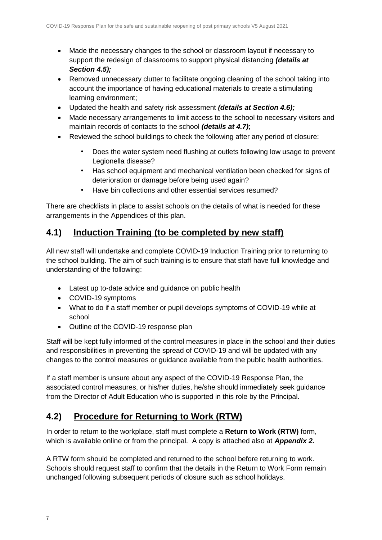- Made the necessary changes to the school or classroom layout if necessary to support the redesign of classrooms to support physical distancing *(details at Section 4.5);*
- Removed unnecessary clutter to facilitate ongoing cleaning of the school taking into account the importance of having educational materials to create a stimulating learning environment;
- Updated the health and safety risk assessment *(details at Section 4.6);*
- Made necessary arrangements to limit access to the school to necessary visitors and maintain records of contacts to the school *(details at 4.7)*;
- Reviewed the school buildings to check the following after any period of closure:
	- Does the water system need flushing at outlets following low usage to prevent Legionella disease?
	- Has school equipment and mechanical ventilation been checked for signs of deterioration or damage before being used again?
	- Have bin collections and other essential services resumed?

There are checklists in place to assist schools on the details of what is needed for these arrangements in the Appendices of this plan.

### **4.1) Induction Training (to be completed by new staff)**

All new staff will undertake and complete COVID-19 Induction Training prior to returning to the school building. The aim of such training is to ensure that staff have full knowledge and understanding of the following:

- Latest up to-date advice and guidance on public health
- COVID-19 symptoms
- What to do if a staff member or pupil develops symptoms of COVID-19 while at school
- Outline of the COVID-19 response plan

Staff will be kept fully informed of the control measures in place in the school and their duties and responsibilities in preventing the spread of COVID-19 and will be updated with any changes to the control measures or guidance available from the public health authorities.

If a staff member is unsure about any aspect of the COVID-19 Response Plan, the associated control measures, or his/her duties, he/she should immediately seek guidance from the Director of Adult Education who is supported in this role by the Principal.

### **4.2) Procedure for Returning to Work (RTW)**

In order to return to the workplace, staff must complete a **Return to Work (RTW)** form, which is available online or from the principal. A copy is attached also at *Appendix 2.*

A RTW form should be completed and returned to the school before returning to work. Schools should request staff to confirm that the details in the Return to Work Form remain unchanged following subsequent periods of closure such as school holidays.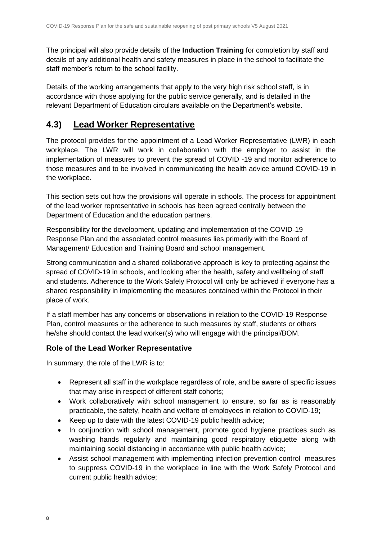The principal will also provide details of the **Induction Training** for completion by staff and details of any additional health and safety measures in place in the school to facilitate the staff member's return to the school facility.

Details of the working arrangements that apply to the very high risk school staff, is in accordance with those applying for the public service generally, and is detailed in the relevant Department of Education circulars available on the Department's website.

# **4.3) Lead Worker Representative**

The protocol provides for the appointment of a Lead Worker Representative (LWR) in each workplace. The LWR will work in collaboration with the employer to assist in the implementation of measures to prevent the spread of COVID -19 and monitor adherence to those measures and to be involved in communicating the health advice around COVID-19 in the workplace.

This section sets out how the provisions will operate in schools. The process for appointment of the lead worker representative in schools has been agreed centrally between the Department of Education and the education partners.

Responsibility for the development, updating and implementation of the COVID-19 Response Plan and the associated control measures lies primarily with the Board of Management/ Education and Training Board and school management.

Strong communication and a shared collaborative approach is key to protecting against the spread of COVID-19 in schools, and looking after the health, safety and wellbeing of staff and students. Adherence to the Work Safely Protocol will only be achieved if everyone has a shared responsibility in implementing the measures contained within the Protocol in their place of work.

If a staff member has any concerns or observations in relation to the COVID-19 Response Plan, control measures or the adherence to such measures by staff, students or others he/she should contact the lead worker(s) who will engage with the principal/BOM.

#### **Role of the Lead Worker Representative**

In summary, the role of the LWR is to:

- Represent all staff in the workplace regardless of role, and be aware of specific issues that may arise in respect of different staff cohorts;
- Work collaboratively with school management to ensure, so far as is reasonably practicable, the safety, health and welfare of employees in relation to COVID-19;
- Keep up to date with the latest COVID-19 public health advice;
- In conjunction with school management, promote good hygiene practices such as washing hands regularly and maintaining good respiratory etiquette along with maintaining social distancing in accordance with public health advice;
- Assist school management with implementing infection prevention control measures to suppress COVID-19 in the workplace in line with the Work Safely Protocol and current public health advice;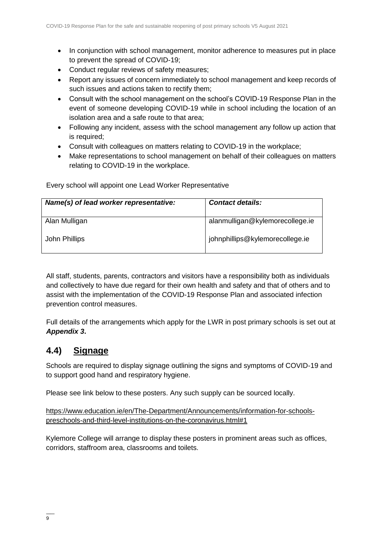- In conjunction with school management, monitor adherence to measures put in place to prevent the spread of COVID-19;
- Conduct regular reviews of safety measures;
- Report any issues of concern immediately to school management and keep records of such issues and actions taken to rectify them;
- Consult with the school management on the school's COVID-19 Response Plan in the event of someone developing COVID-19 while in school including the location of an isolation area and a safe route to that area;
- Following any incident, assess with the school management any follow up action that is required;
- Consult with colleagues on matters relating to COVID-19 in the workplace;
- Make representations to school management on behalf of their colleagues on matters relating to COVID-19 in the workplace.

Every school will appoint one Lead Worker Representative

| Name(s) of lead worker representative: | <b>Contact details:</b>         |
|----------------------------------------|---------------------------------|
| Alan Mulligan                          | alanmulligan@kylemorecollege.ie |
| John Phillips                          | johnphillips@kylemorecollege.ie |

All staff, students, parents, contractors and visitors have a responsibility both as individuals and collectively to have due regard for their own health and safety and that of others and to assist with the implementation of the COVID-19 Response Plan and associated infection prevention control measures.

Full details of the arrangements which apply for the LWR in post primary schools is set out at *Appendix 3***.**

# **4.4) Signage**

Schools are required to display signage outlining the signs and symptoms of COVID-19 and to support good hand and respiratory hygiene.

Please see link below to these posters. Any such supply can be sourced locally.

[https://www.education.ie/en/The-Department/Announcements/information-for-schools](https://www.education.ie/en/The-Department/Announcements/information-for-schools-preschools-and-third-level-institutions-on-the-coronavirus.html#1)[preschools-and-third-level-institutions-on-the-coronavirus.html#1](https://www.education.ie/en/The-Department/Announcements/information-for-schools-preschools-and-third-level-institutions-on-the-coronavirus.html#1)

Kylemore College will arrange to display these posters in prominent areas such as offices, corridors, staffroom area, classrooms and toilets.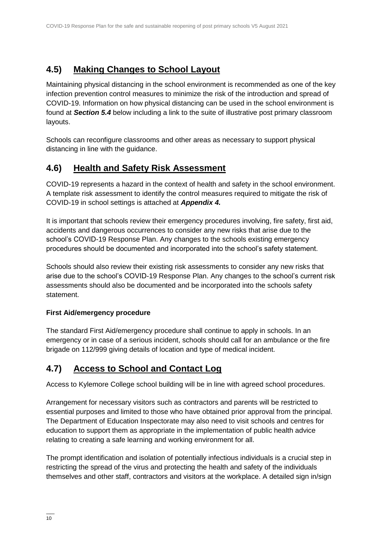# **4.5) Making Changes to School Layout**

Maintaining physical distancing in the school environment is recommended as one of the key infection prevention control measures to minimize the risk of the introduction and spread of COVID-19. Information on how physical distancing can be used in the school environment is found at *Section 5.4* below including a link to the suite of illustrative post primary classroom layouts.

Schools can reconfigure classrooms and other areas as necessary to support physical distancing in line with the guidance.

# **4.6) Health and Safety Risk Assessment**

COVID-19 represents a hazard in the context of health and safety in the school environment. A template risk assessment to identify the control measures required to mitigate the risk of COVID-19 in school settings is attached at *Appendix 4.*

It is important that schools review their emergency procedures involving, fire safety, first aid, accidents and dangerous occurrences to consider any new risks that arise due to the school's COVID-19 Response Plan. Any changes to the schools existing emergency procedures should be documented and incorporated into the school's safety statement.

Schools should also review their existing risk assessments to consider any new risks that arise due to the school's COVID-19 Response Plan. Any changes to the school's current risk assessments should also be documented and be incorporated into the schools safety statement.

#### **First Aid/emergency procedure**

The standard First Aid/emergency procedure shall continue to apply in schools. In an emergency or in case of a serious incident, schools should call for an ambulance or the fire brigade on 112/999 giving details of location and type of medical incident.

# **4.7) Access to School and Contact Log**

Access to Kylemore College school building will be in line with agreed school procedures.

Arrangement for necessary visitors such as contractors and parents will be restricted to essential purposes and limited to those who have obtained prior approval from the principal. The Department of Education Inspectorate may also need to visit schools and centres for education to support them as appropriate in the implementation of public health advice relating to creating a safe learning and working environment for all.

The prompt identification and isolation of potentially infectious individuals is a crucial step in restricting the spread of the virus and protecting the health and safety of the individuals themselves and other staff, contractors and visitors at the workplace. A detailed sign in/sign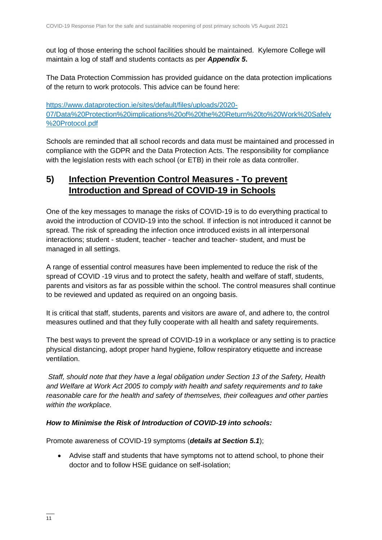out log of those entering the school facilities should be maintained. Kylemore College will maintain a log of staff and students contacts as per *Appendix 5***.** 

The Data Protection Commission has provided guidance on the data protection implications of the return to work protocols. This advice can be found here:

[https://www.dataprotection.ie/sites/default/files/uploads/2020-](https://www.dataprotection.ie/sites/default/files/uploads/2020-07/Data%20Protection%20implications%20of%20the%20Return%20to%20Work%20Safely%20Protocol.pdf) [07/Data%20Protection%20implications%20of%20the%20Return%20to%20Work%20Safely](https://www.dataprotection.ie/sites/default/files/uploads/2020-07/Data%20Protection%20implications%20of%20the%20Return%20to%20Work%20Safely%20Protocol.pdf) [%20Protocol.pdf](https://www.dataprotection.ie/sites/default/files/uploads/2020-07/Data%20Protection%20implications%20of%20the%20Return%20to%20Work%20Safely%20Protocol.pdf)

Schools are reminded that all school records and data must be maintained and processed in compliance with the GDPR and the Data Protection Acts. The responsibility for compliance with the legislation rests with each school (or ETB) in their role as data controller.

# **5) Infection Prevention Control Measures - To prevent Introduction and Spread of COVID-19 in Schools**

One of the key messages to manage the risks of COVID-19 is to do everything practical to avoid the introduction of COVID-19 into the school. If infection is not introduced it cannot be spread. The risk of spreading the infection once introduced exists in all interpersonal interactions; student - student, teacher - teacher and teacher- student, and must be managed in all settings.

A range of essential control measures have been implemented to reduce the risk of the spread of COVID -19 virus and to protect the safety, health and welfare of staff, students, parents and visitors as far as possible within the school. The control measures shall continue to be reviewed and updated as required on an ongoing basis.

It is critical that staff, students, parents and visitors are aware of, and adhere to, the control measures outlined and that they fully cooperate with all health and safety requirements.

The best ways to prevent the spread of COVID-19 in a workplace or any setting is to practice physical distancing, adopt proper hand hygiene, follow respiratory etiquette and increase ventilation.

*Staff, should note that they have a legal obligation under Section 13 of the Safety, Health and Welfare at Work Act 2005 to comply with health and safety requirements and to take reasonable care for the health and safety of themselves, their colleagues and other parties within the workplace.* 

#### *How to Minimise the Risk of Introduction of COVID-19 into schools:*

Promote awareness of COVID-19 symptoms (*details at Section 5.1*);

 Advise staff and students that have symptoms not to attend school, to phone their doctor and to follow HSE guidance on self-isolation;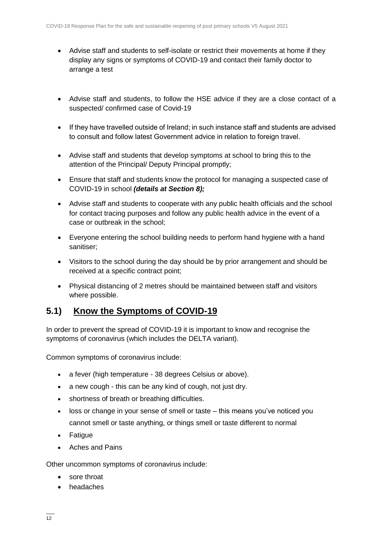- Advise staff and students to self-isolate or restrict their movements at home if they display any signs or symptoms of COVID-19 and contact their family doctor to arrange a test
- Advise staff and students, to follow the HSE advice if they are a close contact of a suspected/ confirmed case of Covid-19
- If they have travelled outside of Ireland; in such instance staff and students are advised to consult and follow latest Government advice in relation to foreign travel.
- Advise staff and students that develop symptoms at school to bring this to the attention of the Principal/ Deputy Principal promptly;
- Ensure that staff and students know the protocol for managing a suspected case of COVID-19 in school *(details at Section 8);*
- Advise staff and students to cooperate with any public health officials and the school for contact tracing purposes and follow any public health advice in the event of a case or outbreak in the school;
- Everyone entering the school building needs to perform hand hygiene with a hand sanitiser;
- Visitors to the school during the day should be by prior arrangement and should be received at a specific contract point;
- Physical distancing of 2 metres should be maintained between staff and visitors where possible.

### **5.1) Know the Symptoms of COVID-19**

In order to prevent the spread of COVID-19 it is important to know and recognise the symptoms of coronavirus (which includes the DELTA variant).

Common symptoms of coronavirus include:

- a fever (high temperature 38 degrees Celsius or above).
- a new cough this can be any kind of cough, not just dry.
- shortness of breath or breathing difficulties.
- loss or change in your sense of smell or taste this means you've noticed you cannot smell or taste anything, or things smell or taste different to normal
- Fatigue
- Aches and Pains

Other uncommon symptoms of coronavirus include:

- sore throat
- headaches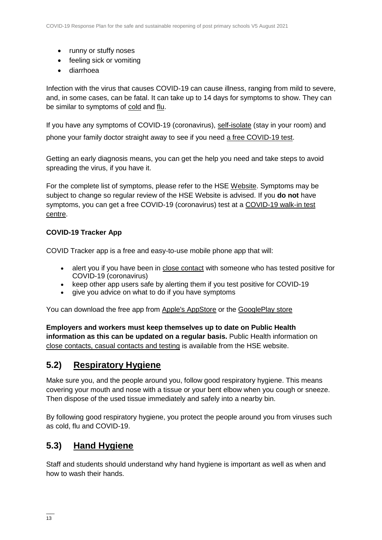- runny or stuffy noses
- feeling sick or vomiting
- diarrhoea

Infection with the virus that causes COVID-19 can cause illness, ranging from mild to severe, and, in some cases, can be fatal. It can take up to 14 days for symptoms to show. They can be similar to symptoms of [cold](https://www2.hse.ie/conditions/common-cold.html) and [flu.](https://www2.hse.ie/conditions/flu/flu-symptoms-and-diagnosis.html)

If you have any symptoms of COVID-19 (coronavirus), [self-isolate](https://www2.hse.ie/conditions/coronavirus/self-isolation/how-to-self-isolate.html) (stay in your room) and phone your family doctor straight away to see if you need [a free COVID-19 test.](https://www2.hse.ie/conditions/coronavirus/testing/how-to-get-tested.html)

Getting an early diagnosis means, you can get the help you need and take steps to avoid spreading the virus, if you have it.

For the complete list of symptoms, please refer to the HSE [Website.](https://www2.hse.ie/conditions/coronavirus/symptoms.html) Symptoms may be subject to change so regular review of the HSE Website is advised. If you **do not** have symptoms, you can get a free COVID-19 (coronavirus) test at a [COVID-19 walk-in test](https://www2.hse.ie/conditions/coronavirus/testing/covid-19-walk-in-test-centres.html)  [centre.](https://www2.hse.ie/conditions/coronavirus/testing/covid-19-walk-in-test-centres.html)

#### **COVID-19 Tracker App**

COVID Tracker app is a free and easy-to-use mobile phone app that will:

- alert you if you have been in [close contact](https://www2.hse.ie/conditions/coronavirus/close-contact-and-casual-contact.html) with someone who has tested positive for COVID-19 (coronavirus)
- keep other app users safe by alerting them if you test positive for COVID-19
- give you advice on what to do if you have symptoms

You can download the free app from [Apple's AppStore](https://apps.apple.com/ie/app/covid-tracker-ireland/id1505596721) or the [GooglePlay store](https://play.google.com/store/apps/details?id=com.covidtracker.hse)

**Employers and workers must keep themselves up to date on Public Health information as this can be updated on a regular basis.** Public Health information on [close contacts, casual contacts and testing](https://www2.hse.ie/conditions/coronavirus/close-contact-and-casual-contact.html) is available from the HSE website.

### **5.2) Respiratory Hygiene**

Make sure you, and the people around you, follow good respiratory hygiene. This means covering your mouth and nose with a tissue or your bent elbow when you cough or sneeze. Then dispose of the used tissue immediately and safely into a nearby bin.

By following good respiratory hygiene, you protect the people around you from viruses such as cold, flu and COVID-19.

### **5.3) Hand Hygiene**

Staff and students should understand why hand hygiene is important as well as when and how to wash their hands.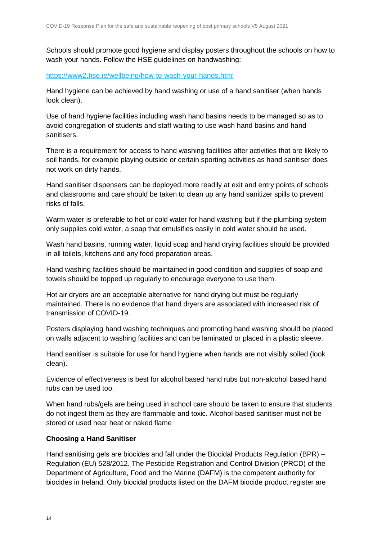Schools should promote good hygiene and display posters throughout the schools on how to wash your hands. Follow the HSE guidelines on handwashing:

<https://www2.hse.ie/wellbeing/how-to-wash-your-hands.html>

Hand hygiene can be achieved by hand washing or use of a hand sanitiser (when hands look clean).

Use of hand hygiene facilities including wash hand basins needs to be managed so as to avoid congregation of students and staff waiting to use wash hand basins and hand sanitisers.

There is a requirement for access to hand washing facilities after activities that are likely to soil hands, for example playing outside or certain sporting activities as hand sanitiser does not work on dirty hands.

Hand sanitiser dispensers can be deployed more readily at exit and entry points of schools and classrooms and care should be taken to clean up any hand sanitizer spills to prevent risks of falls.

Warm water is preferable to hot or cold water for hand washing but if the plumbing system only supplies cold water, a soap that emulsifies easily in cold water should be used.

Wash hand basins, running water, liquid soap and hand drying facilities should be provided in all toilets, kitchens and any food preparation areas.

Hand washing facilities should be maintained in good condition and supplies of soap and towels should be topped up regularly to encourage everyone to use them.

Hot air dryers are an acceptable alternative for hand drying but must be regularly maintained. There is no evidence that hand dryers are associated with increased risk of transmission of COVID-19.

Posters displaying hand washing techniques and promoting hand washing should be placed on walls adjacent to washing facilities and can be laminated or placed in a plastic sleeve.

Hand sanitiser is suitable for use for hand hygiene when hands are not visibly soiled (look clean).

Evidence of effectiveness is best for alcohol based hand rubs but non-alcohol based hand rubs can be used too.

When hand rubs/gels are being used in school care should be taken to ensure that students do not ingest them as they are flammable and toxic. Alcohol-based sanitiser must not be stored or used near heat or naked flame

#### **Choosing a Hand Sanitiser**

Hand sanitising gels are biocides and fall under the Biocidal Products Regulation (BPR) – Regulation (EU) 528/2012. The Pesticide Registration and Control Division (PRCD) of the Department of Agriculture, Food and the Marine (DAFM) is the competent authority for biocides in Ireland. Only biocidal products listed on the DAFM biocide product register are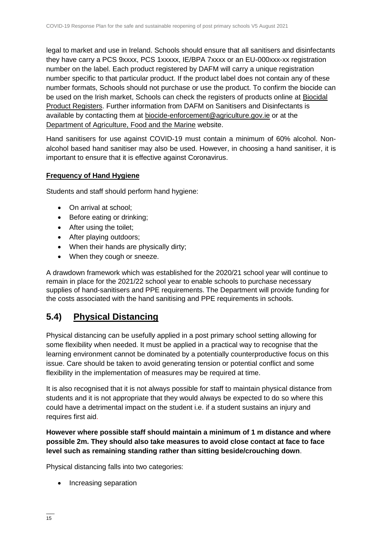legal to market and use in Ireland. Schools should ensure that all sanitisers and disinfectants they have carry a PCS 9xxxx, PCS 1xxxxx, IE/BPA 7xxxx or an EU-000xxx-xx registration number on the label. Each product registered by DAFM will carry a unique registration number specific to that particular product. If the product label does not contain any of these number formats, Schools should not purchase or use the product. To confirm the biocide can be used on the Irish market, Schools can check the registers of products online at [Biocidal](https://www.pcs.agriculture.gov.ie/registers/biocidalproductregisters/)  [Product Registers.](https://www.pcs.agriculture.gov.ie/registers/biocidalproductregisters/) Further information from DAFM on Sanitisers and Disinfectants is available by contacting them at [biocide-enforcement@agriculture.gov.ie](mailto:biocide-enforcement@agriculture.gov.ie) or at the [Department of Agriculture, Food and the Marine](https://www.agriculture.gov.ie/customerservice/coronaviruscovid-19/handsanitisersanddisinfectants/) website.

Hand sanitisers for use against COVID-19 must contain a minimum of 60% alcohol. Nonalcohol based hand sanitiser may also be used. However, in choosing a hand sanitiser, it is important to ensure that it is effective against Coronavirus.

#### **Frequency of Hand Hygiene**

Students and staff should perform hand hygiene:

- On arrival at school:
- Before eating or drinking;
- After using the toilet;
- After playing outdoors;
- When their hands are physically dirty;
- When they cough or sneeze.

A drawdown framework which was established for the 2020/21 school year will continue to remain in place for the 2021/22 school year to enable schools to purchase necessary supplies of hand-sanitisers and PPE requirements. The Department will provide funding for the costs associated with the hand sanitising and PPE requirements in schools.

# **5.4) Physical Distancing**

Physical distancing can be usefully applied in a post primary school setting allowing for some flexibility when needed. It must be applied in a practical way to recognise that the learning environment cannot be dominated by a potentially counterproductive focus on this issue. Care should be taken to avoid generating tension or potential conflict and some flexibility in the implementation of measures may be required at time.

It is also recognised that it is not always possible for staff to maintain physical distance from students and it is not appropriate that they would always be expected to do so where this could have a detrimental impact on the student i.e. if a student sustains an injury and requires first aid.

**However where possible staff should maintain a minimum of 1 m distance and where possible 2m. They should also take measures to avoid close contact at face to face level such as remaining standing rather than sitting beside/crouching down**.

Physical distancing falls into two categories:

• Increasing separation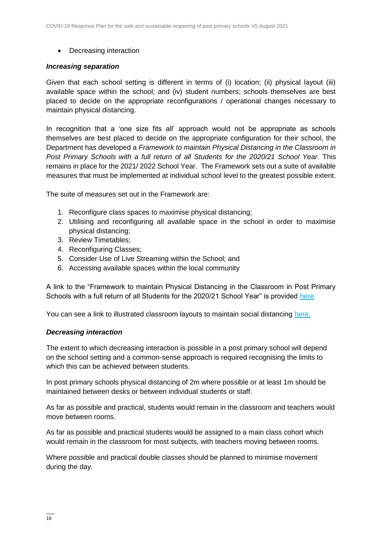• Decreasing interaction

#### *Increasing separation*

Given that each school setting is different in terms of (i) location; (ii) physical layout (iii) available space within the school; and (iv) student numbers; schools themselves are best placed to decide on the appropriate reconfigurations / operational changes necessary to maintain physical distancing.

In recognition that a 'one size fits all' approach would not be appropriate as schools themselves are best placed to decide on the appropriate configuration for their school, the Department has developed a *Framework to maintain Physical Distancing in the Classroom in Post Primary Schools with a full return of all Students for the 2020/21 School Year. This* remains in place for the 2021/ 2022 School Year.The Framework sets out a suite of available measures that must be implemented at individual school level to the greatest possible extent.

The suite of measures set out in the Framework are:

- 1. Reconfigure class spaces to maximise physical distancing;
- 2. Utilising and reconfiguring all available space in the school in order to maximise physical distancing;
- 3. Review Timetables;
- 4. Reconfiguring Classes;
- 5. Consider Use of Live Streaming within the School; and
- 6. Accessing available spaces within the local community

A link to the "Framework to maintain Physical Distancing in the Classroom in Post Primary Schools with a full return of all Students for the 2020/21 School Year" is provided [here.](https://assets.gov.ie/83472/ca0e3029-2d43-4e77-8181-bc3dc89455d2.pdf)

You can see a link to illustrated classroom layouts to maintain social distancing [here.](https://s3-eu-west-1.amazonaws.com/govieassets/81947/e89b3523-78ee-45cb-ae14-c13d143b889b.pdf)

#### *Decreasing interaction*

The extent to which decreasing interaction is possible in a post primary school will depend on the school setting and a common-sense approach is required recognising the limits to which this can be achieved between students.

In post primary schools physical distancing of 2m where possible or at least 1m should be maintained between desks or between individual students or staff.

As far as possible and practical, students would remain in the classroom and teachers would move between rooms.

As far as possible and practical students would be assigned to a main class cohort which would remain in the classroom for most subjects, with teachers moving between rooms.

Where possible and practical double classes should be planned to minimise movement during the day.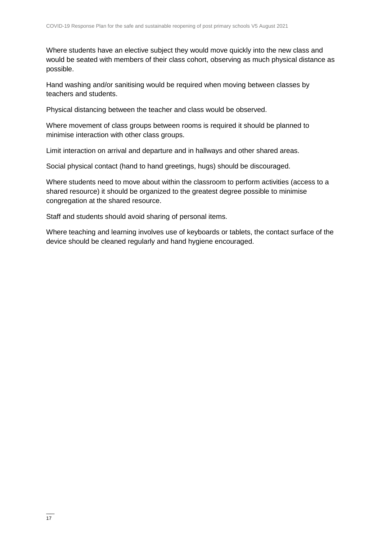Where students have an elective subject they would move quickly into the new class and would be seated with members of their class cohort, observing as much physical distance as possible.

Hand washing and/or sanitising would be required when moving between classes by teachers and students.

Physical distancing between the teacher and class would be observed.

Where movement of class groups between rooms is required it should be planned to minimise interaction with other class groups.

Limit interaction on arrival and departure and in hallways and other shared areas.

Social physical contact (hand to hand greetings, hugs) should be discouraged.

Where students need to move about within the classroom to perform activities (access to a shared resource) it should be organized to the greatest degree possible to minimise congregation at the shared resource.

Staff and students should avoid sharing of personal items.

Where teaching and learning involves use of keyboards or tablets, the contact surface of the device should be cleaned regularly and hand hygiene encouraged.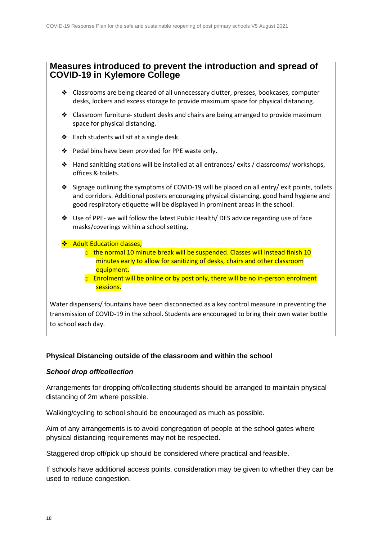#### **Measures introduced to prevent the introduction and spread of COVID-19 in Kylemore College**

- ❖ Classrooms are being cleared of all unnecessary clutter, presses, bookcases, computer desks, lockers and excess storage to provide maximum space for physical distancing.
- ❖ Classroom furniture- student desks and chairs are being arranged to provide maximum space for physical distancing.
- ❖ Each students will sit at a single desk.
- ❖ Pedal bins have been provided for PPE waste only.
- ❖ Hand sanitizing stations will be installed at all entrances/ exits / classrooms/ workshops, offices & toilets.
- ❖ Signage outlining the symptoms of COVID-19 will be placed on all entry/ exit points, toilets and corridors. Additional posters encouraging physical distancing, good hand hygiene and good respiratory etiquette will be displayed in prominent areas in the school.
- ❖ Use of PPE- we will follow the latest Public Health/ DES advice regarding use of face masks/coverings within a school setting.
- ❖ Adult Education classes;
	- $\circ$  the normal 10 minute break will be suspended. Classes will instead finish 10 minutes early to allow for sanitizing of desks, chairs and other classroom equipment.
	- $\circ$  Enrolment will be online or by post only, there will be no in-person enrolment sessions.

Water dispensers/ fountains have been disconnected as a key control measure in preventing the transmission of COVID-19 in the school. Students are encouraged to bring their own water bottle to school each day.

#### **Physical Distancing outside of the classroom and within the school**

#### *School drop off/collection*

Arrangements for dropping off/collecting students should be arranged to maintain physical distancing of 2m where possible.

Walking/cycling to school should be encouraged as much as possible.

Aim of any arrangements is to avoid congregation of people at the school gates where physical distancing requirements may not be respected.

Staggered drop off/pick up should be considered where practical and feasible.

If schools have additional access points, consideration may be given to whether they can be used to reduce congestion.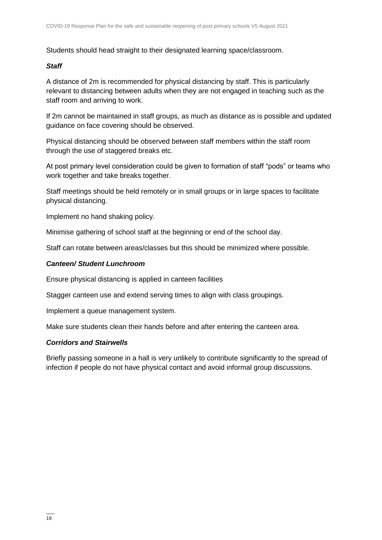Students should head straight to their designated learning space/classroom.

#### *Staff*

A distance of 2m is recommended for physical distancing by staff. This is particularly relevant to distancing between adults when they are not engaged in teaching such as the staff room and arriving to work.

If 2m cannot be maintained in staff groups, as much as distance as is possible and updated guidance on face covering should be observed.

Physical distancing should be observed between staff members within the staff room through the use of staggered breaks etc.

At post primary level consideration could be given to formation of staff "pods" or teams who work together and take breaks together.

Staff meetings should be held remotely or in small groups or in large spaces to facilitate physical distancing.

Implement no hand shaking policy.

Minimise gathering of school staff at the beginning or end of the school day.

Staff can rotate between areas/classes but this should be minimized where possible.

#### *Canteen/ Student Lunchroom*

Ensure physical distancing is applied in canteen facilities

Stagger canteen use and extend serving times to align with class groupings.

Implement a queue management system.

Make sure students clean their hands before and after entering the canteen area.

#### *Corridors and Stairwells*

Briefly passing someone in a hall is very unlikely to contribute significantly to the spread of infection if people do not have physical contact and avoid informal group discussions.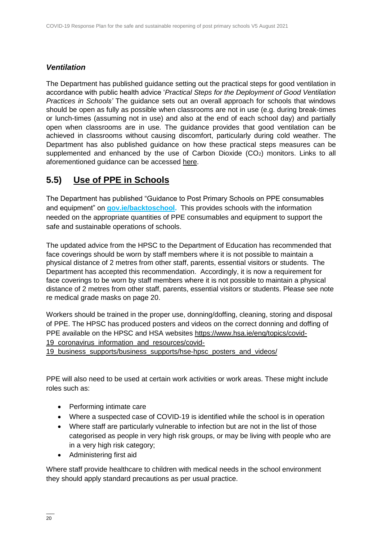#### *Ventilation*

The Department has published guidance setting out the practical steps for good ventilation in accordance with public health advice '*Practical Steps for the Deployment of Good Ventilation Practices in Schools'* The guidance sets out an overall approach for schools that windows should be open as fully as possible when classrooms are not in use (e.g. during break-times or lunch-times (assuming not in use) and also at the end of each school day) and partially open when classrooms are in use. The guidance provides that good ventilation can be achieved in classrooms without causing discomfort, particularly during cold weather. The Department has also published guidance on how these practical steps measures can be supplemented and enhanced by the use of Carbon Dioxide  $(CO<sub>2</sub>)$  monitors. Links to all aforementioned guidance can be accessed [here.](https://www.gov.ie/en/publication/ad236-guidance-on-ventilation-in-schools/)

# **5.5) Use of PPE in Schools**

The Department has published "Guidance to Post Primary Schools on PPE consumables and equipment" on **[gov.ie/backtoschool.](http://www.gov.ie/backtoschool)** This provides schools with the information needed on the appropriate quantities of PPE consumables and equipment to support the safe and sustainable operations of schools.

The updated advice from the HPSC to the Department of Education has recommended that face coverings should be worn by staff members where it is not possible to maintain a physical distance of 2 metres from other staff, parents, essential visitors or students. The Department has accepted this recommendation. Accordingly, it is now a requirement for face coverings to be worn by staff members where it is not possible to maintain a physical distance of 2 metres from other staff, parents, essential visitors or students. Please see note re medical grade masks on page 20.

Workers should be trained in the proper use, donning/doffing, cleaning, storing and disposal of PPE. The HPSC has produced posters and videos on the correct donning and doffing of PPE available on the HPSC and HSA websites [https://www.hsa.ie/eng/topics/covid-](https://www.hsa.ie/eng/topics/covid-19_coronavirus_information_and_resources/covid-19_business_supports/business_supports/hse-hpsc_posters_and_videos/)19 coronavirus information and resources/covid-

[19\\_business\\_supports/business\\_supports/hse-hpsc\\_posters\\_and\\_videos/](https://www.hsa.ie/eng/topics/covid-19_coronavirus_information_and_resources/covid-19_business_supports/business_supports/hse-hpsc_posters_and_videos/)

PPE will also need to be used at certain work activities or work areas. These might include roles such as:

- Performing intimate care
- Where a suspected case of COVID-19 is identified while the school is in operation
- Where staff are particularly vulnerable to infection but are not in the list of those categorised as people in very high risk groups, or may be living with people who are in a very high risk category;
- Administering first aid

Where staff provide healthcare to children with medical needs in the school environment they should apply standard precautions as per usual practice.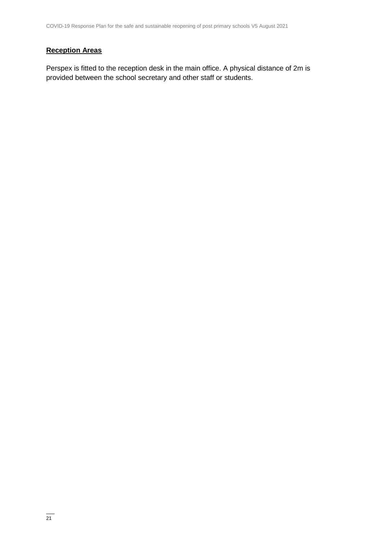#### **Reception Areas**

Perspex is fitted to the reception desk in the main office. A physical distance of 2m is provided between the school secretary and other staff or students.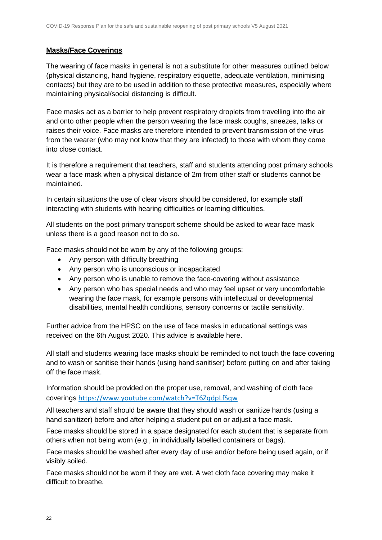#### **Masks/Face Coverings**

The wearing of face masks in general is not a substitute for other measures outlined below (physical distancing, hand hygiene, respiratory etiquette, adequate ventilation, minimising contacts) but they are to be used in addition to these protective measures, especially where maintaining physical/social distancing is difficult.

Face masks act as a barrier to help prevent respiratory droplets from travelling into the air and onto other people when the person wearing the face mask coughs, sneezes, talks or raises their voice. Face masks are therefore intended to prevent transmission of the virus from the wearer (who may not know that they are infected) to those with whom they come into close contact.

It is therefore a requirement that teachers, staff and students attending post primary schools wear a face mask when a physical distance of 2m from other staff or students cannot be maintained.

In certain situations the use of clear visors should be considered, for example staff interacting with students with hearing difficulties or learning difficulties.

All students on the post primary transport scheme should be asked to wear face mask unless there is a good reason not to do so.

Face masks should not be worn by any of the following groups:

- Any person with difficulty breathing
- Any person who is unconscious or incapacitated
- Any person who is unable to remove the face-covering without assistance
- Any person who has special needs and who may feel upset or very uncomfortable wearing the face mask, for example persons with intellectual or developmental disabilities, mental health conditions, sensory concerns or tactile sensitivity.

Further advice from the HPSC on the use of face masks in educational settings was received on the 6th August 2020. This advice is available [here.](https://assets.gov.ie/83506/86fba2a7-26da-4c19-bce3-b0d01aaaf59b.pdf)

All staff and students wearing face masks should be reminded to not touch the face covering and to wash or sanitise their hands (using hand sanitiser) before putting on and after taking off the face mask.

Information should be provided on the proper use, removal, and washing of cloth face coverings <https://www.youtube.com/watch?v=T6ZqdpLfSqw>

All teachers and staff should be aware that they should wash or sanitize hands (using a hand sanitizer) before and after helping a student put on or adjust a face mask.

Face masks should be stored in a space designated for each student that is separate from others when not being worn (e.g., in individually labelled containers or bags).

Face masks should be washed after every day of use and/or before being used again, or if visibly soiled.

Face masks should not be worn if they are wet. A wet cloth face covering may make it difficult to breathe.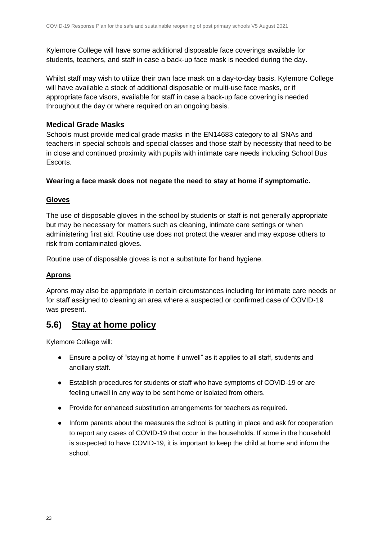Kylemore College will have some additional disposable face coverings available for students, teachers, and staff in case a back-up face mask is needed during the day.

Whilst staff may wish to utilize their own face mask on a day-to-day basis, Kylemore College will have available a stock of additional disposable or multi-use face masks, or if appropriate face visors, available for staff in case a back-up face covering is needed throughout the day or where required on an ongoing basis.

#### **Medical Grade Masks**

Schools must provide medical grade masks in the EN14683 category to all SNAs and teachers in special schools and special classes and those staff by necessity that need to be in close and continued proximity with pupils with intimate care needs including School Bus Escorts.

#### **Wearing a face mask does not negate the need to stay at home if symptomatic.**

#### **Gloves**

The use of disposable gloves in the school by students or staff is not generally appropriate but may be necessary for matters such as cleaning, intimate care settings or when administering first aid. Routine use does not protect the wearer and may expose others to risk from contaminated gloves.

Routine use of disposable gloves is not a substitute for hand hygiene.

#### **Aprons**

Aprons may also be appropriate in certain circumstances including for intimate care needs or for staff assigned to cleaning an area where a suspected or confirmed case of COVID-19 was present.

### **5.6) Stay at home policy**

Kylemore College will:

- Ensure a policy of "staying at home if unwell" as it applies to all staff, students and ancillary staff.
- Establish procedures for students or staff who have symptoms of COVID-19 or are feeling unwell in any way to be sent home or isolated from others.
- Provide for enhanced substitution arrangements for teachers as required.
- Inform parents about the measures the school is putting in place and ask for cooperation to report any cases of COVID-19 that occur in the households. If some in the household is suspected to have COVID-19, it is important to keep the child at home and inform the school.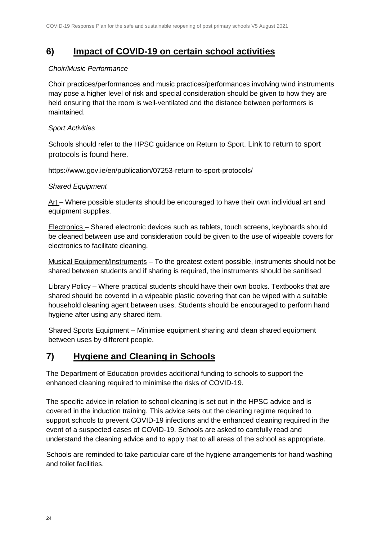### **6) Impact of COVID-19 on certain school activities**

#### *Choir/Music Performance*

Choir practices/performances and music practices/performances involving wind instruments may pose a higher level of risk and special consideration should be given to how they are held ensuring that the room is well-ventilated and the distance between performers is maintained.

#### *Sport Activities*

Schools should refer to the HPSC guidance on Return to Sport. Link to return to sport protocols is found here.

#### <https://www.gov.ie/en/publication/07253-return-to-sport-protocols/>

#### *Shared Equipment*

Art – Where possible students should be encouraged to have their own individual art and equipment supplies.

Electronics – Shared electronic devices such as tablets, touch screens, keyboards should be cleaned between use and consideration could be given to the use of wipeable covers for electronics to facilitate cleaning.

Musical Equipment/Instruments – To the greatest extent possible, instruments should not be shared between students and if sharing is required, the instruments should be sanitised

Library Policy – Where practical students should have their own books. Textbooks that are shared should be covered in a wipeable plastic covering that can be wiped with a suitable household cleaning agent between uses. Students should be encouraged to perform hand hygiene after using any shared item.

Shared Sports Equipment – Minimise equipment sharing and clean shared equipment between uses by different people.

# **7) Hygiene and Cleaning in Schools**

The Department of Education provides additional funding to schools to support the enhanced cleaning required to minimise the risks of COVID-19.

The specific advice in relation to school cleaning is set out in the HPSC advice and is covered in the induction training. This advice sets out the cleaning regime required to support schools to prevent COVID-19 infections and the enhanced cleaning required in the event of a suspected cases of COVID-19. Schools are asked to carefully read and understand the cleaning advice and to apply that to all areas of the school as appropriate.

Schools are reminded to take particular care of the hygiene arrangements for hand washing and toilet facilities.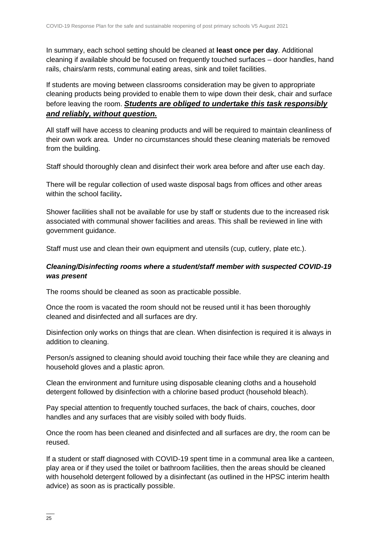In summary, each school setting should be cleaned at **least once per day**. Additional cleaning if available should be focused on frequently touched surfaces – door handles, hand rails, chairs/arm rests, communal eating areas, sink and toilet facilities.

If students are moving between classrooms consideration may be given to appropriate cleaning products being provided to enable them to wipe down their desk, chair and surface before leaving the room. *Students are obliged to undertake this task responsibly and reliably, without question.* 

All staff will have access to cleaning products and will be required to maintain cleanliness of their own work area. Under no circumstances should these cleaning materials be removed from the building.

Staff should thoroughly clean and disinfect their work area before and after use each day.

There will be regular collection of used waste disposal bags from offices and other areas within the school facility**.** 

Shower facilities shall not be available for use by staff or students due to the increased risk associated with communal shower facilities and areas. This shall be reviewed in line with government guidance.

Staff must use and clean their own equipment and utensils (cup, cutlery, plate etc.).

#### *Cleaning/Disinfecting rooms where a student/staff member with suspected COVID-19 was present*

The rooms should be cleaned as soon as practicable possible.

Once the room is vacated the room should not be reused until it has been thoroughly cleaned and disinfected and all surfaces are dry.

Disinfection only works on things that are clean. When disinfection is required it is always in addition to cleaning.

Person/s assigned to cleaning should avoid touching their face while they are cleaning and household gloves and a plastic apron.

Clean the environment and furniture using disposable cleaning cloths and a household detergent followed by disinfection with a chlorine based product (household bleach).

Pay special attention to frequently touched surfaces, the back of chairs, couches, door handles and any surfaces that are visibly soiled with body fluids.

Once the room has been cleaned and disinfected and all surfaces are dry, the room can be reused.

If a student or staff diagnosed with COVID-19 spent time in a communal area like a canteen, play area or if they used the toilet or bathroom facilities, then the areas should be cleaned with household detergent followed by a disinfectant (as outlined in the HPSC interim health advice) as soon as is practically possible.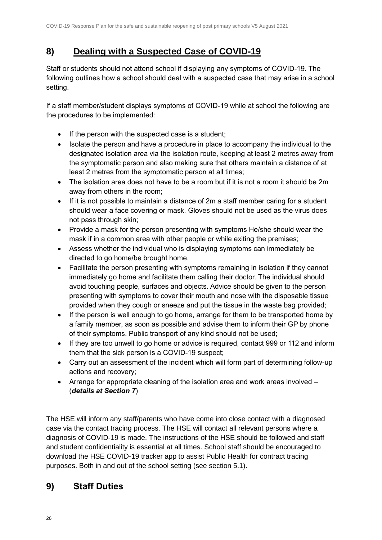### **8) Dealing with a Suspected Case of COVID-19**

Staff or students should not attend school if displaying any symptoms of COVID-19. The following outlines how a school should deal with a suspected case that may arise in a school setting.

If a staff member/student displays symptoms of COVID-19 while at school the following are the procedures to be implemented:

- If the person with the suspected case is a student;
- Isolate the person and have a procedure in place to accompany the individual to the designated isolation area via the isolation route, keeping at least 2 metres away from the symptomatic person and also making sure that others maintain a distance of at least 2 metres from the symptomatic person at all times;
- The isolation area does not have to be a room but if it is not a room it should be 2m away from others in the room;
- If it is not possible to maintain a distance of 2m a staff member caring for a student should wear a face covering or mask. Gloves should not be used as the virus does not pass through skin;
- Provide a mask for the person presenting with symptoms He/she should wear the mask if in a common area with other people or while exiting the premises;
- Assess whether the individual who is displaying symptoms can immediately be directed to go home/be brought home.
- Facilitate the person presenting with symptoms remaining in isolation if they cannot immediately go home and facilitate them calling their doctor. The individual should avoid touching people, surfaces and objects. Advice should be given to the person presenting with symptoms to cover their mouth and nose with the disposable tissue provided when they cough or sneeze and put the tissue in the waste bag provided;
- If the person is well enough to go home, arrange for them to be transported home by a family member, as soon as possible and advise them to inform their GP by phone of their symptoms. Public transport of any kind should not be used;
- If they are too unwell to go home or advice is required, contact 999 or 112 and inform them that the sick person is a COVID-19 suspect;
- Carry out an assessment of the incident which will form part of determining follow-up actions and recovery;
- Arrange for appropriate cleaning of the isolation area and work areas involved (*details at Section 7*)

The HSE will inform any staff/parents who have come into close contact with a diagnosed case via the contact tracing process. The HSE will contact all relevant persons where a diagnosis of COVID-19 is made. The instructions of the HSE should be followed and staff and student confidentiality is essential at all times. School staff should be encouraged to download the HSE COVID-19 tracker app to assist Public Health for contract tracing purposes. Both in and out of the school setting (see section 5.1).

# **9) Staff Duties**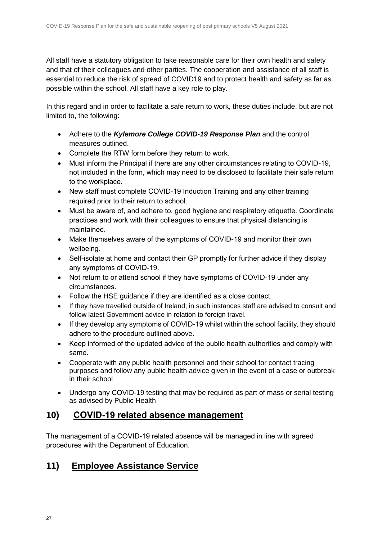All staff have a statutory obligation to take reasonable care for their own health and safety and that of their colleagues and other parties. The cooperation and assistance of all staff is essential to reduce the risk of spread of COVID19 and to protect health and safety as far as possible within the school. All staff have a key role to play.

In this regard and in order to facilitate a safe return to work, these duties include, but are not limited to, the following:

- Adhere to the *Kylemore College COVID-19 Response Plan* and the control measures outlined.
- Complete the RTW form before they return to work.
- Must inform the Principal if there are any other circumstances relating to COVID-19, not included in the form, which may need to be disclosed to facilitate their safe return to the workplace.
- New staff must complete COVID-19 Induction Training and any other training required prior to their return to school.
- Must be aware of, and adhere to, good hygiene and respiratory etiquette. Coordinate practices and work with their colleagues to ensure that physical distancing is maintained.
- Make themselves aware of the symptoms of COVID-19 and monitor their own wellbeing.
- Self-isolate at home and contact their GP promptly for further advice if they display any symptoms of COVID-19.
- Not return to or attend school if they have symptoms of COVID-19 under any circumstances.
- Follow the HSE guidance if they are identified as a close contact.
- If they have travelled outside of Ireland; in such instances staff are advised to consult and follow latest Government advice in relation to foreign travel.
- If they develop any symptoms of COVID-19 whilst within the school facility, they should adhere to the procedure outlined above.
- Keep informed of the updated advice of the public health authorities and comply with same.
- Cooperate with any public health personnel and their school for contact tracing purposes and follow any public health advice given in the event of a case or outbreak in their school
- Undergo any COVID-19 testing that may be required as part of mass or serial testing as advised by Public Health

### **10) COVID-19 related absence management**

The management of a COVID-19 related absence will be managed in line with agreed procedures with the Department of Education.

# **11) Employee Assistance Service**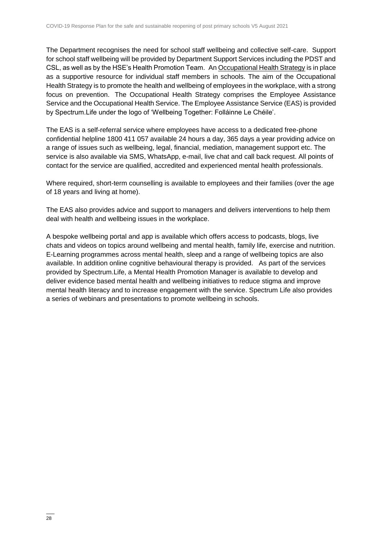The Department recognises the need for school staff wellbeing and collective self-care. Support for school staff wellbeing will be provided by Department Support Services including the PDST and CSL, as well as by the HSE's Health Promotion Team. An [Occupational Health Strategy](https://www.education.ie/en/Education-Staff/Information/Occupational-Health-Strategy/) is in place as a supportive resource for individual staff members in schools. The aim of the Occupational Health Strategy is to promote the health and wellbeing of employees in the workplace, with a strong focus on prevention. The Occupational Health Strategy comprises the Employee Assistance Service and the Occupational Health Service. The Employee Assistance Service (EAS) is provided by Spectrum.Life under the logo of 'Wellbeing Together: Folláinne Le Chéile'.

The EAS is a self-referral service where employees have access to a dedicated free-phone confidential helpline 1800 411 057 available 24 hours a day, 365 days a year providing advice on a range of issues such as wellbeing, legal, financial, mediation, management support etc. The service is also available via SMS, WhatsApp, e-mail, live chat and call back request. All points of contact for the service are qualified, accredited and experienced mental health professionals.

Where required, short-term counselling is available to employees and their families (over the age of 18 years and living at home).

The EAS also provides advice and support to managers and delivers interventions to help them deal with health and wellbeing issues in the workplace.

A bespoke wellbeing portal and app is available which offers access to podcasts, blogs, live chats and videos on topics around wellbeing and mental health, family life, exercise and nutrition. E-Learning programmes across mental health, sleep and a range of wellbeing topics are also available. In addition online cognitive behavioural therapy is provided. As part of the services provided by Spectrum.Life, a Mental Health Promotion Manager is available to develop and deliver evidence based mental health and wellbeing initiatives to reduce stigma and improve mental health literacy and to increase engagement with the service. Spectrum Life also provides a series of webinars and presentations to promote wellbeing in schools.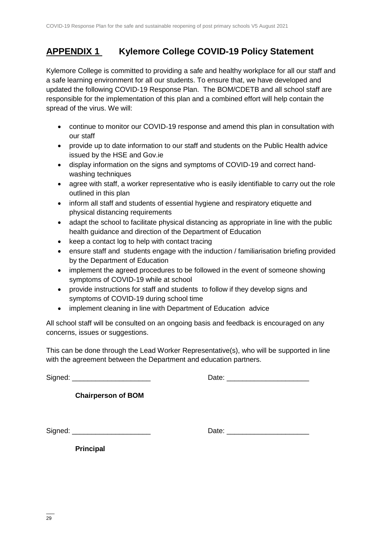# **APPENDIX 1 Kylemore College COVID-19 Policy Statement**

Kylemore College is committed to providing a safe and healthy workplace for all our staff and a safe learning environment for all our students. To ensure that, we have developed and updated the following COVID-19 Response Plan. The BOM/CDETB and all school staff are responsible for the implementation of this plan and a combined effort will help contain the spread of the virus. We will:

- continue to monitor our COVID-19 response and amend this plan in consultation with our staff
- provide up to date information to our staff and students on the Public Health advice issued by the HSE and Gov.ie
- display information on the signs and symptoms of COVID-19 and correct handwashing techniques
- agree with staff, a worker representative who is easily identifiable to carry out the role outlined in this plan
- inform all staff and students of essential hygiene and respiratory etiquette and physical distancing requirements
- adapt the school to facilitate physical distancing as appropriate in line with the public health guidance and direction of the Department of Education
- keep a contact log to help with contact tracing
- ensure staff and students engage with the induction / familiarisation briefing provided by the Department of Education
- implement the agreed procedures to be followed in the event of someone showing symptoms of COVID-19 while at school
- provide instructions for staff and students to follow if they develop signs and symptoms of COVID-19 during school time
- implement cleaning in line with Department of Education advice

All school staff will be consulted on an ongoing basis and feedback is encouraged on any concerns, issues or suggestions.

This can be done through the Lead Worker Representative(s), who will be supported in line with the agreement between the Department and education partners.

Signed: \_\_\_\_\_\_\_\_\_\_\_\_\_\_\_\_\_\_\_\_ Date: \_\_\_\_\_\_\_\_\_\_\_\_\_\_\_\_\_\_\_\_\_

**Chairperson of BOM**

Signed: \_\_\_\_\_\_\_\_\_\_\_\_\_\_\_\_\_\_\_\_ Date: \_\_\_\_\_\_\_\_\_\_\_\_\_\_\_\_\_\_\_\_\_

**Principal**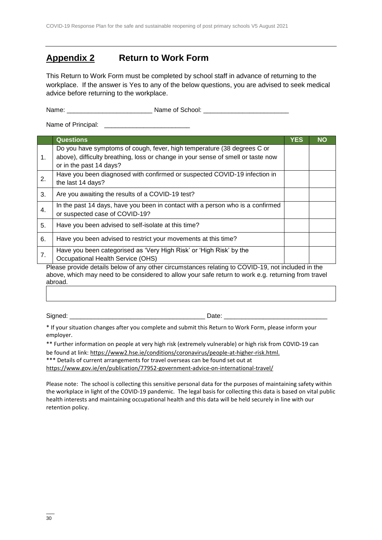# **Appendix 2 Return to Work Form**

This Return to Work Form must be completed by school staff in advance of returning to the workplace. If the answer is Yes to any of the below questions, you are advised to seek medical advice before returning to the workplace.

Name: \_\_\_\_\_\_\_\_\_\_\_\_\_\_\_\_\_\_\_\_\_\_\_\_ Name of School: \_\_\_\_\_\_\_\_\_\_\_\_\_\_\_\_\_\_\_\_\_\_\_\_

Name of Principal: \_\_\_\_\_\_\_\_\_\_\_\_\_\_\_\_\_\_\_\_\_\_\_\_

|    | <b>Questions</b>                                                                                                                                                                                   | YES | <b>NO</b> |
|----|----------------------------------------------------------------------------------------------------------------------------------------------------------------------------------------------------|-----|-----------|
| 1. | Do you have symptoms of cough, fever, high temperature (38 degrees C or<br>above), difficulty breathing, loss or change in your sense of smell or taste now                                        |     |           |
|    | or in the past 14 days?                                                                                                                                                                            |     |           |
| 2. | Have you been diagnosed with confirmed or suspected COVID-19 infection in<br>the last 14 days?                                                                                                     |     |           |
| 3. | Are you awaiting the results of a COVID-19 test?                                                                                                                                                   |     |           |
| 4. | In the past 14 days, have you been in contact with a person who is a confirmed<br>or suspected case of COVID-19?                                                                                   |     |           |
| 5. | Have you been advised to self-isolate at this time?                                                                                                                                                |     |           |
| 6. | Have you been advised to restrict your movements at this time?                                                                                                                                     |     |           |
| 7. | Have you been categorised as 'Very High Risk' or 'High Risk' by the                                                                                                                                |     |           |
|    | Occupational Health Service (OHS)                                                                                                                                                                  |     |           |
|    | Please provide details below of any other circumstances relating to COVID-19, not included in the<br>abous which mou need to be considered to ellow your sofe return to werk a guiding from trovel |     |           |

above, which may need to be considered to allow your safe return to work e.g. returning from travel abroad.

Signed: \_\_\_\_\_\_\_\_\_\_\_\_\_\_\_\_\_\_\_\_\_\_\_\_\_\_\_\_\_\_\_\_\_\_\_\_\_\_ Date: \_\_\_\_\_\_\_\_\_\_\_\_\_\_\_\_\_\_\_\_\_\_\_\_\_\_\_\_\_

\* If your situation changes after you complete and submit this Return to Work Form, please inform your employer.

\*\* Further information on people at very high risk (extremely vulnerable) or high risk from COVID-19 can be found at link[: https://www2.hse.ie/conditions/coronavirus/people-at-higher-risk.html.](https://www2.hse.ie/conditions/covid19/people-at-higher-risk/overview/)

\*\*\* Details of current arrangements for travel overseas can be found set out at

<https://www.gov.ie/en/publication/77952-government-advice-on-international-travel/>

Please note: The school is collecting this sensitive personal data for the purposes of maintaining safety within the workplace in light of the COVID-19 pandemic. The legal basis for collecting this data is based on vital public health interests and maintaining occupational health and this data will be held securely in line with our retention policy.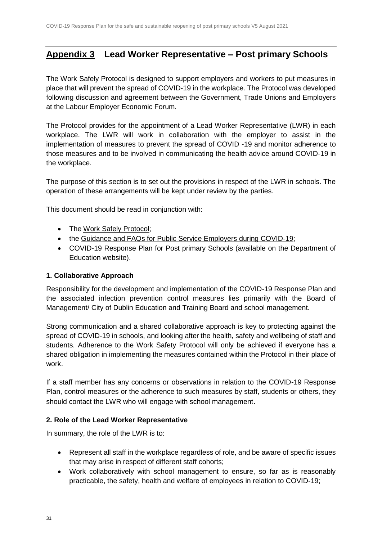# **Appendix 3 Lead Worker Representative – Post primary Schools**

The Work Safely Protocol is designed to support employers and workers to put measures in place that will prevent the spread of COVID-19 in the workplace. The Protocol was developed following discussion and agreement between the Government, Trade Unions and Employers at the Labour Employer Economic Forum.

The Protocol provides for the appointment of a Lead Worker Representative (LWR) in each workplace. The LWR will work in collaboration with the employer to assist in the implementation of measures to prevent the spread of COVID -19 and monitor adherence to those measures and to be involved in communicating the health advice around COVID-19 in the workplace.

The purpose of this section is to set out the provisions in respect of the LWR in schools. The operation of these arrangements will be kept under review by the parties.

This document should be read in conjunction with:

- The [Work Safely Protocol;](https://www.gov.ie/en/publication/22829a-return-to-work-safely-protocol/)
- the [Guidance and FAQs for Public Service Employers during COVID-19;](https://www.gov.ie/en/news/092fff-update-on-working-arrangements-and-leave-associated-with-covid-19-fo/)
- COVID-19 Response Plan for Post primary Schools (available on the Department of Education website).

#### **1. Collaborative Approach**

Responsibility for the development and implementation of the COVID-19 Response Plan and the associated infection prevention control measures lies primarily with the Board of Management/ City of Dublin Education and Training Board and school management.

Strong communication and a shared collaborative approach is key to protecting against the spread of COVID-19 in schools, and looking after the health, safety and wellbeing of staff and students. Adherence to the Work Safety Protocol will only be achieved if everyone has a shared obligation in implementing the measures contained within the Protocol in their place of work.

If a staff member has any concerns or observations in relation to the COVID-19 Response Plan, control measures or the adherence to such measures by staff, students or others, they should contact the LWR who will engage with school management.

#### **2. Role of the Lead Worker Representative**

In summary, the role of the LWR is to:

- Represent all staff in the workplace regardless of role, and be aware of specific issues that may arise in respect of different staff cohorts;
- Work collaboratively with school management to ensure, so far as is reasonably practicable, the safety, health and welfare of employees in relation to COVID-19;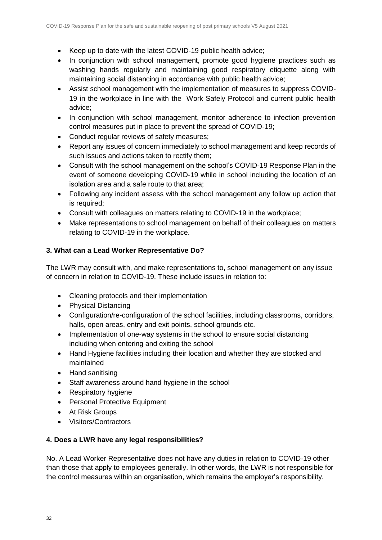- Keep up to date with the latest COVID-19 public health advice;
- In conjunction with school management, promote good hygiene practices such as washing hands regularly and maintaining good respiratory etiquette along with maintaining social distancing in accordance with public health advice;
- Assist school management with the implementation of measures to suppress COVID-19 in the workplace in line with the Work Safely Protocol and current public health advice;
- In conjunction with school management, monitor adherence to infection prevention control measures put in place to prevent the spread of COVID-19;
- Conduct regular reviews of safety measures;
- Report any issues of concern immediately to school management and keep records of such issues and actions taken to rectify them;
- Consult with the school management on the school's COVID-19 Response Plan in the event of someone developing COVID-19 while in school including the location of an isolation area and a safe route to that area;
- Following any incident assess with the school management any follow up action that is required;
- Consult with colleagues on matters relating to COVID-19 in the workplace;
- Make representations to school management on behalf of their colleagues on matters relating to COVID-19 in the workplace.

#### **3. What can a Lead Worker Representative Do?**

The LWR may consult with, and make representations to, school management on any issue of concern in relation to COVID-19. These include issues in relation to:

- Cleaning protocols and their implementation
- Physical Distancing
- Configuration/re-configuration of the school facilities, including classrooms, corridors, halls, open areas, entry and exit points, school grounds etc.
- Implementation of one-way systems in the school to ensure social distancing including when entering and exiting the school
- Hand Hygiene facilities including their location and whether they are stocked and maintained
- Hand sanitising
- Staff awareness around hand hygiene in the school
- Respiratory hygiene
- Personal Protective Equipment
- At Risk Groups
- Visitors/Contractors

#### **4. Does a LWR have any legal responsibilities?**

No. A Lead Worker Representative does not have any duties in relation to COVID-19 other than those that apply to employees generally. In other words, the LWR is not responsible for the control measures within an organisation, which remains the employer's responsibility.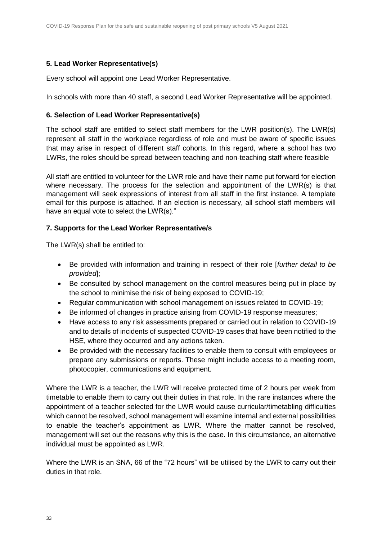#### **5. Lead Worker Representative(s)**

Every school will appoint one Lead Worker Representative.

In schools with more than 40 staff, a second Lead Worker Representative will be appointed.

#### **6. Selection of Lead Worker Representative(s)**

The school staff are entitled to select staff members for the LWR position(s). The LWR(s) represent all staff in the workplace regardless of role and must be aware of specific issues that may arise in respect of different staff cohorts. In this regard, where a school has two LWRs, the roles should be spread between teaching and non-teaching staff where feasible

All staff are entitled to volunteer for the LWR role and have their name put forward for election where necessary. The process for the selection and appointment of the LWR(s) is that management will seek expressions of interest from all staff in the first instance. A template email for this purpose is attached. If an election is necessary, all school staff members will have an equal vote to select the LWR(s)."

#### **7. Supports for the Lead Worker Representative/s**

The LWR(s) shall be entitled to:

- Be provided with information and training in respect of their role [*further detail to be provided*];
- Be consulted by school management on the control measures being put in place by the school to minimise the risk of being exposed to COVID-19;
- Regular communication with school management on issues related to COVID-19;
- Be informed of changes in practice arising from COVID-19 response measures;
- Have access to any risk assessments prepared or carried out in relation to COVID-19 and to details of incidents of suspected COVID-19 cases that have been notified to the HSE, where they occurred and any actions taken.
- Be provided with the necessary facilities to enable them to consult with employees or prepare any submissions or reports. These might include access to a meeting room, photocopier, communications and equipment.

Where the LWR is a teacher, the LWR will receive protected time of 2 hours per week from timetable to enable them to carry out their duties in that role. In the rare instances where the appointment of a teacher selected for the LWR would cause curricular/timetabling difficulties which cannot be resolved, school management will examine internal and external possibilities to enable the teacher's appointment as LWR. Where the matter cannot be resolved, management will set out the reasons why this is the case. In this circumstance, an alternative individual must be appointed as LWR.

Where the LWR is an SNA, 66 of the "72 hours" will be utilised by the LWR to carry out their duties in that role.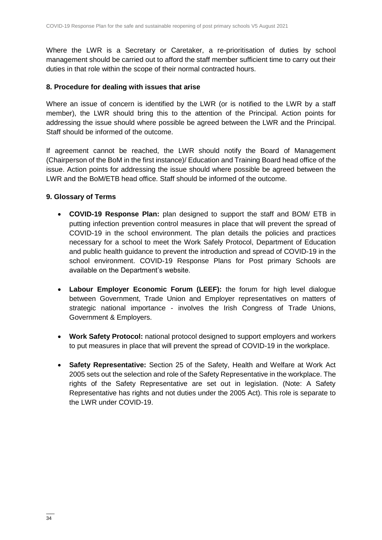Where the LWR is a Secretary or Caretaker, a re-prioritisation of duties by school management should be carried out to afford the staff member sufficient time to carry out their duties in that role within the scope of their normal contracted hours.

#### **8. Procedure for dealing with issues that arise**

Where an issue of concern is identified by the LWR (or is notified to the LWR by a staff member), the LWR should bring this to the attention of the Principal. Action points for addressing the issue should where possible be agreed between the LWR and the Principal. Staff should be informed of the outcome.

If agreement cannot be reached, the LWR should notify the Board of Management (Chairperson of the BoM in the first instance)/ Education and Training Board head office of the issue. Action points for addressing the issue should where possible be agreed between the LWR and the BoM/ETB head office. Staff should be informed of the outcome.

#### **9. Glossary of Terms**

- **COVID-19 Response Plan:** plan designed to support the staff and BOM/ ETB in putting infection prevention control measures in place that will prevent the spread of COVID-19 in the school environment. The plan details the policies and practices necessary for a school to meet the Work Safely Protocol, Department of Education and public health guidance to prevent the introduction and spread of COVID-19 in the school environment. COVID-19 Response Plans for Post primary Schools are available on the Department's website.
- **Labour Employer Economic Forum (LEEF):** the forum for high level dialogue between Government, Trade Union and Employer representatives on matters of strategic national importance - involves the Irish Congress of Trade Unions, Government & Employers.
- **Work Safety Protocol:** national protocol designed to support employers and workers to put measures in place that will prevent the spread of COVID-19 in the workplace.
- **Safety Representative:** Section 25 of the Safety, Health and Welfare at Work Act 2005 sets out the selection and role of the Safety Representative in the workplace. The rights of the Safety Representative are set out in legislation. (Note: A Safety Representative has rights and not duties under the 2005 Act). This role is separate to the LWR under COVID-19.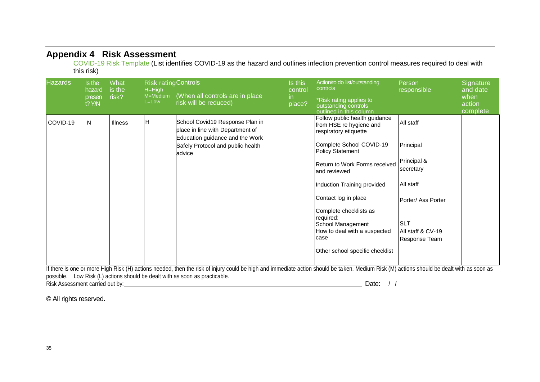#### **Appendix 4 Risk Assessment**

COVID-19 Risk Template (List identifies COVID-19 as the hazard and outlines infection prevention control measures required to deal with this risk)

| <b>Hazards</b> | Is the<br>hazard<br>presen<br>$t$ ? Y/N | What<br>is the<br>risk? | <b>Risk ratingControls</b><br>$H=High$<br>M=Medium<br>L=Low | (When all controls are in place<br>risk will be reduced)                                                                                                                                                                                                                                                                                            | Is this<br>control<br>in<br>place? | Action/to do list/outstanding<br>controls<br>*Risk rating applies to<br>outstanding controls<br>outlined in this column                                                                                                                                                                                                                                                                 | Person<br>responsible                                                                                                                     | Signature<br>and date<br>when<br>action<br>complete |
|----------------|-----------------------------------------|-------------------------|-------------------------------------------------------------|-----------------------------------------------------------------------------------------------------------------------------------------------------------------------------------------------------------------------------------------------------------------------------------------------------------------------------------------------------|------------------------------------|-----------------------------------------------------------------------------------------------------------------------------------------------------------------------------------------------------------------------------------------------------------------------------------------------------------------------------------------------------------------------------------------|-------------------------------------------------------------------------------------------------------------------------------------------|-----------------------------------------------------|
| COVID-19       | N                                       | <b>Illness</b>          | H                                                           | School Covid19 Response Plan in<br>place in line with Department of<br>Education guidance and the Work<br>Safely Protocol and public health<br>advice<br>If there is and avanone Uigh Digh (U) actions no deal athen the sigh of injure exceld he bigh and immediate action ebould he to ben Medium Digh (M) actions chaudel he dealt with as again |                                    | Follow public health guidance<br>from HSE re hygiene and<br>respiratory etiquette<br>Complete School COVID-19<br><b>Policy Statement</b><br>Return to Work Forms received<br>and reviewed<br>Induction Training provided<br>Contact log in place<br>Complete checklists as<br>required:<br>School Management<br>How to deal with a suspected<br>case<br>Other school specific checklist | All staff<br>Principal<br>Principal &<br>secretary<br>All staff<br>Porter/ Ass Porter<br><b>SLT</b><br>All staff & CV-19<br>Response Team |                                                     |

If there is one or more High Risk (H) actions needed, then the risk of injury could be high and immediate action should be taken. Medium Risk (M) actions should be dealt with as soon as possible. Low Risk (L) actions should be dealt with as soon as practicable. Risk Assessment carried out by: Date: / /

© All rights reserved.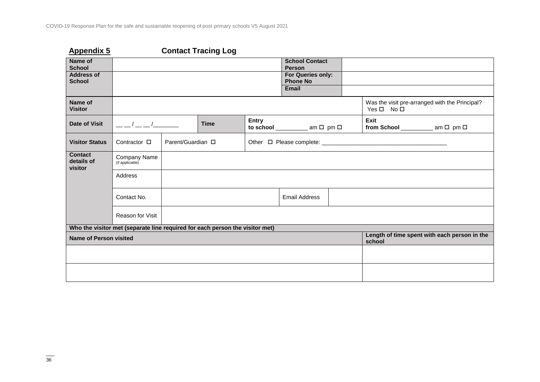| <b>Appendix 5</b>                       |                                                                                                                                                                                                                                                                                                                     |                   | <b>Contact Tracing Log</b> |       |                                                      |                                              |                                                |
|-----------------------------------------|---------------------------------------------------------------------------------------------------------------------------------------------------------------------------------------------------------------------------------------------------------------------------------------------------------------------|-------------------|----------------------------|-------|------------------------------------------------------|----------------------------------------------|------------------------------------------------|
| Name of<br><b>School</b>                |                                                                                                                                                                                                                                                                                                                     |                   |                            |       | <b>School Contact</b><br><b>Person</b>               |                                              |                                                |
| <b>Address of</b><br><b>School</b>      |                                                                                                                                                                                                                                                                                                                     |                   |                            |       | For Queries only:<br><b>Phone No</b><br><b>Email</b> |                                              |                                                |
|                                         |                                                                                                                                                                                                                                                                                                                     |                   |                            |       |                                                      |                                              |                                                |
| Name of<br><b>Visitor</b>               |                                                                                                                                                                                                                                                                                                                     |                   |                            |       |                                                      | $Yes \Box No \Box$                           | Was the visit pre-arranged with the Principal? |
| <b>Date of Visit</b>                    | $\frac{1}{2}$ $\frac{1}{2}$ $\frac{1}{2}$ $\frac{1}{2}$ $\frac{1}{2}$ $\frac{1}{2}$ $\frac{1}{2}$ $\frac{1}{2}$ $\frac{1}{2}$ $\frac{1}{2}$ $\frac{1}{2}$ $\frac{1}{2}$ $\frac{1}{2}$ $\frac{1}{2}$ $\frac{1}{2}$ $\frac{1}{2}$ $\frac{1}{2}$ $\frac{1}{2}$ $\frac{1}{2}$ $\frac{1}{2}$ $\frac{1}{2}$ $\frac{1}{2}$ |                   | <b>Time</b>                | Entry | to school $\_\_\_\_\_\$ am $\Box$ pm $\Box$          | Exit<br>from School ____________ am □ pm □   |                                                |
| <b>Visitor Status</b>                   | Contractor $\square$                                                                                                                                                                                                                                                                                                | Parent/Guardian □ |                            |       |                                                      |                                              |                                                |
| <b>Contact</b><br>details of<br>visitor | Company Name<br>(if applicable)                                                                                                                                                                                                                                                                                     |                   |                            |       |                                                      |                                              |                                                |
|                                         | Address                                                                                                                                                                                                                                                                                                             |                   |                            |       |                                                      |                                              |                                                |
|                                         | Contact No.                                                                                                                                                                                                                                                                                                         |                   |                            |       | <b>Email Address</b>                                 |                                              |                                                |
|                                         | Reason for Visit                                                                                                                                                                                                                                                                                                    |                   |                            |       |                                                      |                                              |                                                |
|                                         | Who the visitor met (separate line required for each person the visitor met)                                                                                                                                                                                                                                        |                   |                            |       |                                                      |                                              |                                                |
| Name of Person visited                  |                                                                                                                                                                                                                                                                                                                     |                   |                            |       | school                                               | Length of time spent with each person in the |                                                |
|                                         |                                                                                                                                                                                                                                                                                                                     |                   |                            |       |                                                      |                                              |                                                |
|                                         |                                                                                                                                                                                                                                                                                                                     |                   |                            |       |                                                      |                                              |                                                |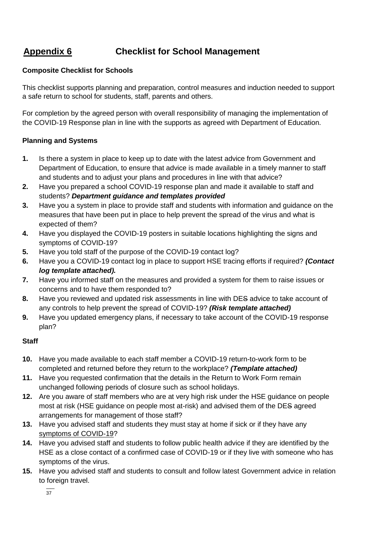# **Appendix 6 Checklist for School Management**

#### **Composite Checklist for Schools**

This checklist supports planning and preparation, control measures and induction needed to support a safe return to school for students, staff, parents and others.

For completion by the agreed person with overall responsibility of managing the implementation of the COVID-19 Response plan in line with the supports as agreed with Department of Education.

#### **Planning and Systems**

- **1.** Is there a system in place to keep up to date with the latest advice from Government and Department of Education, to ensure that advice is made available in a timely manner to staff and students and to adjust your plans and procedures in line with that advice?
- **2.** Have you prepared a school COVID-19 response plan and made it available to staff and students? *Department guidance and templates provided*
- **3.** Have you a system in place to provide staff and students with information and guidance on the measures that have been put in place to help prevent the spread of the virus and what is expected of them?
- **4.** Have you displayed the COVID-19 posters in suitable locations highlighting the signs and symptoms of COVID-19?
- **5.** Have you told staff of the purpose of the COVID-19 contact log?
- **6.** Have you a COVID-19 contact log in place to support HSE tracing efforts if required? *(Contact log template attached).*
- **7.** Have you informed staff on the measures and provided a system for them to raise issues or concerns and to have them responded to?
- **8.** Have you reviewed and updated risk assessments in line with DES advice to take account of any controls to help prevent the spread of COVID-19? *(Risk template attached)*
- **9.** Have you updated emergency plans, if necessary to take account of the COVID-19 response plan?

#### **Staff**

- **10.** Have you made available to each staff member a COVID-19 return-to-work form to be completed and returned before they return to the workplace? *(Template attached)*
- **11.** Have you requested confirmation that the details in the Return to Work Form remain unchanged following periods of closure such as school holidays.
- **12.** Are you aware of staff members who are at very high risk under the HSE guidance on people most at risk (HSE guidance on people most at-risk) and advised them of the DES agreed arrangements for management of those staff?
- **13.** Have you advised staff and students they must stay at home if sick or if they have any [symptoms of COVID-19?](https://www2.hse.ie/conditions/coronavirus/symptoms.html)
- **14.** Have you advised staff and students to follow public health advice if they are identified by the HSE as a close contact of a confirmed case of COVID-19 or if they live with someone who has symptoms of the virus.
- **15.** Have you advised staff and students to consult and follow latest Government advice in relation to foreign travel.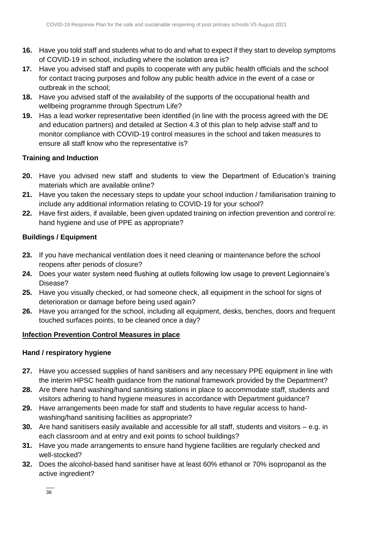- **16.** Have you told staff and students what to do and what to expect if they start to develop symptoms of COVID-19 in school, including where the isolation area is?
- **17.** Have you advised staff and pupils to cooperate with any public health officials and the school for contact tracing purposes and follow any public health advice in the event of a case or outbreak in the school;
- **18.** Have you advised staff of the availability of the supports of the occupational health and wellbeing programme through Spectrum Life?
- **19.** Has a lead worker representative been identified (in line with the process agreed with the DE and education partners) and detailed at Section 4.3 of this plan to help advise staff and to monitor compliance with COVID-19 control measures in the school and taken measures to ensure all staff know who the representative is?

#### **Training and Induction**

- **20.** Have you advised new staff and students to view the Department of Education's training materials which are available online?
- **21.** Have you taken the necessary steps to update your school induction / familiarisation training to include any additional information relating to COVID-19 for your school?
- **22.** Have first aiders, if available, been given updated training on infection prevention and control re: hand hygiene and use of PPE as appropriate?

#### **Buildings / Equipment**

- **23.** If you have mechanical ventilation does it need cleaning or maintenance before the school reopens after periods of closure?
- **24.** Does your water system need flushing at outlets following low usage to prevent Legionnaire's Disease?
- **25.** Have you visually checked, or had someone check, all equipment in the school for signs of deterioration or damage before being used again?
- **26.** Have you arranged for the school, including all equipment, desks, benches, doors and frequent touched surfaces points, to be cleaned once a day?

#### **Infection Prevention Control Measures in place**

#### **Hand / respiratory hygiene**

- **27.** Have you accessed supplies of hand sanitisers and any necessary PPE equipment in line with the interim HPSC health guidance from the national framework provided by the Department?
- **28.** Are there hand washing/hand sanitising stations in place to accommodate staff, students and visitors adhering to hand hygiene measures in accordance with Department guidance?
- **29.** Have arrangements been made for staff and students to have regular access to handwashing/hand sanitising facilities as appropriate?
- **30.** Are hand sanitisers easily available and accessible for all staff, students and visitors e.g. in each classroom and at entry and exit points to school buildings?
- **31.** Have you made arrangements to ensure hand hygiene facilities are regularly checked and well-stocked?
- **32.** Does the alcohol-based hand sanitiser have at least 60% ethanol or 70% isopropanol as the active ingredient?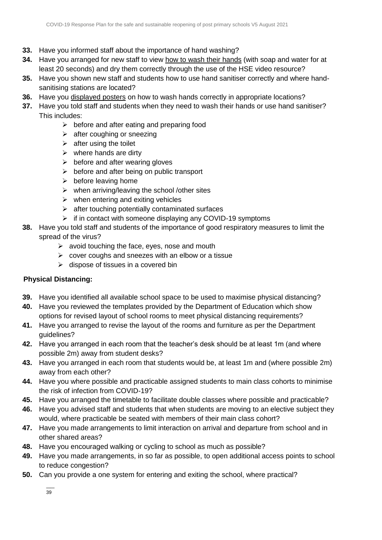- **33.** Have you informed staff about the importance of hand washing?
- **34.** Have you arranged for new staff to view [how to wash their hands](https://www2.hse.ie/wellbeing/how-to-wash-your-hands.html) (with soap and water for at least 20 seconds) and dry them correctly through the use of the HSE video resource?
- **35.** Have you shown new staff and students how to use hand sanitiser correctly and where handsanitising stations are located?
- **36.** Have you [displayed posters](https://www.gov.ie/en/collection/ee0781-covid-19-posters-for-public-use/) on how to wash hands correctly in appropriate locations?
- **37.** Have you told staff and students when they need to wash their hands or use hand sanitiser? This includes:
	- $\triangleright$  before and after eating and preparing food
	- $\triangleright$  after coughing or sneezing
	- $\triangleright$  after using the toilet
	- $\triangleright$  where hands are dirty
	- $\triangleright$  before and after wearing gloves
	- $\triangleright$  before and after being on public transport
	- $\triangleright$  before leaving home
	- $\triangleright$  when arriving/leaving the school /other sites
	- $\triangleright$  when entering and exiting vehicles
	- $\triangleright$  after touching potentially contaminated surfaces
	- $\triangleright$  if in contact with someone displaying any COVID-19 symptoms
- **38.** Have you told staff and students of the importance of good respiratory measures to limit the spread of the virus?
	- $\triangleright$  avoid touching the face, eyes, nose and mouth
	- $\triangleright$  cover coughs and sneezes with an elbow or a tissue
	- $\triangleright$  dispose of tissues in a covered bin

#### **Physical Distancing:**

- **39.** Have you identified all available school space to be used to maximise physical distancing?
- **40.** Have you reviewed the templates provided by the Department of Education which show options for revised layout of school rooms to meet physical distancing requirements?
- **41.** Have you arranged to revise the layout of the rooms and furniture as per the Department quidelines?
- **42.** Have you arranged in each room that the teacher's desk should be at least 1m (and where possible 2m) away from student desks?
- **43.** Have you arranged in each room that students would be, at least 1m and (where possible 2m) away from each other?
- **44.** Have you where possible and practicable assigned students to main class cohorts to minimise the risk of infection from COVID-19?
- **45.** Have you arranged the timetable to facilitate double classes where possible and practicable?
- **46.** Have you advised staff and students that when students are moving to an elective subject they would, where practicable be seated with members of their main class cohort?
- **47.** Have you made arrangements to limit interaction on arrival and departure from school and in other shared areas?
- **48.** Have you encouraged walking or cycling to school as much as possible?
- **49.** Have you made arrangements, in so far as possible, to open additional access points to school to reduce congestion?
- **50.** Can you provide a one system for entering and exiting the school, where practical?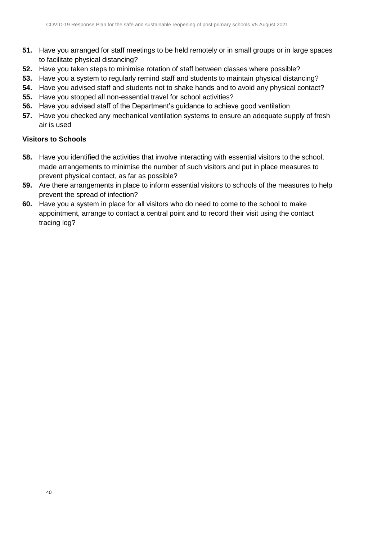- **51.** Have you arranged for staff meetings to be held remotely or in small groups or in large spaces to facilitate physical distancing?
- **52.** Have you taken steps to minimise rotation of staff between classes where possible?
- **53.** Have you a system to regularly remind staff and students to maintain physical distancing?
- **54.** Have you advised staff and students not to shake hands and to avoid any physical contact?
- **55.** Have you stopped all non-essential travel for school activities?
- **56.** Have you advised staff of the Department's guidance to achieve good ventilation
- **57.** Have you checked any mechanical ventilation systems to ensure an adequate supply of fresh air is used

#### **Visitors to Schools**

- **58.** Have you identified the activities that involve interacting with essential visitors to the school, made arrangements to minimise the number of such visitors and put in place measures to prevent physical contact, as far as possible?
- **59.** Are there arrangements in place to inform essential visitors to schools of the measures to help prevent the spread of infection?
- **60.** Have you a system in place for all visitors who do need to come to the school to make appointment, arrange to contact a central point and to record their visit using the contact tracing log?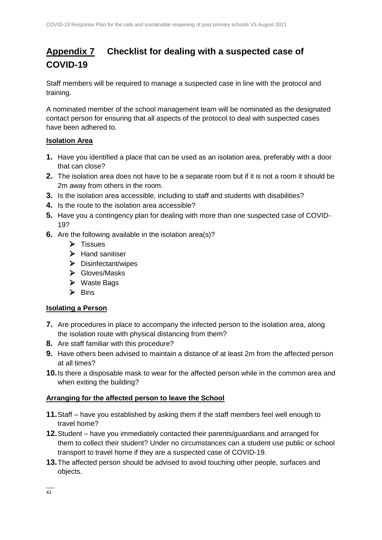# **Appendix 7 Checklist for dealing with a suspected case of COVID-19**

Staff members will be required to manage a suspected case in line with the protocol and training.

A nominated member of the school management team will be nominated as the designated contact person for ensuring that all aspects of the protocol to deal with suspected cases have been adhered to.

#### **Isolation Area**

- **1.** Have you identified a place that can be used as an isolation area, preferably with a door that can close?
- **2.** The isolation area does not have to be a separate room but if it is not a room it should be 2m away from others in the room.
- **3.** Is the isolation area accessible, including to staff and students with disabilities?
- **4.** Is the route to the isolation area accessible?
- **5.** Have you a contingency plan for dealing with more than one suspected case of COVID-19?
- **6.** Are the following available in the isolation area(s)?
	- $\triangleright$  Tissues
	- $\triangleright$  Hand sanitiser
	- $\triangleright$  Disinfectant/wipes
	- Gloves/Masks
	- ▶ Waste Bags
	- $\triangleright$  Bins

#### **Isolating a Person**

- **7.** Are procedures in place to accompany the infected person to the isolation area, along the isolation route with physical distancing from them?
- **8.** Are staff familiar with this procedure?
- **9.** Have others been advised to maintain a distance of at least 2m from the affected person at all times?
- **10.**Is there a disposable mask to wear for the affected person while in the common area and when exiting the building?

#### **Arranging for the affected person to leave the School**

- **11.**Staff have you established by asking them if the staff members feel well enough to travel home?
- **12.**Student have you immediately contacted their parents/guardians and arranged for them to collect their student? Under no circumstances can a student use public or school transport to travel home if they are a suspected case of COVID-19.
- **13.**The affected person should be advised to avoid touching other people, surfaces and objects.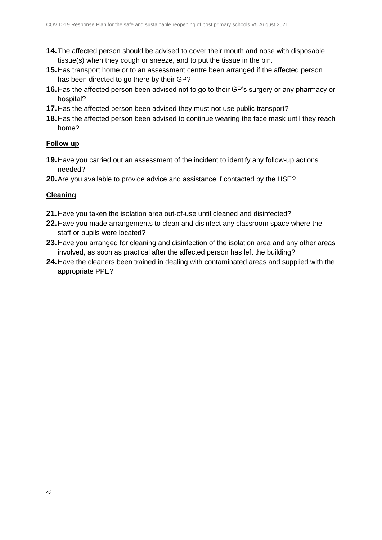- **14.**The affected person should be advised to cover their mouth and nose with disposable tissue(s) when they cough or sneeze, and to put the tissue in the bin.
- **15.**Has transport home or to an assessment centre been arranged if the affected person has been directed to go there by their GP?
- **16.**Has the affected person been advised not to go to their GP's surgery or any pharmacy or hospital?
- **17.**Has the affected person been advised they must not use public transport?
- **18.**Has the affected person been advised to continue wearing the face mask until they reach home?

#### **Follow up**

- **19.**Have you carried out an assessment of the incident to identify any follow-up actions needed?
- **20.**Are you available to provide advice and assistance if contacted by the HSE?

#### **Cleaning**

- **21.**Have you taken the isolation area out-of-use until cleaned and disinfected?
- **22.**Have you made arrangements to clean and disinfect any classroom space where the staff or pupils were located?
- **23.**Have you arranged for cleaning and disinfection of the isolation area and any other areas involved, as soon as practical after the affected person has left the building?
- **24.**Have the cleaners been trained in dealing with contaminated areas and supplied with the appropriate PPE?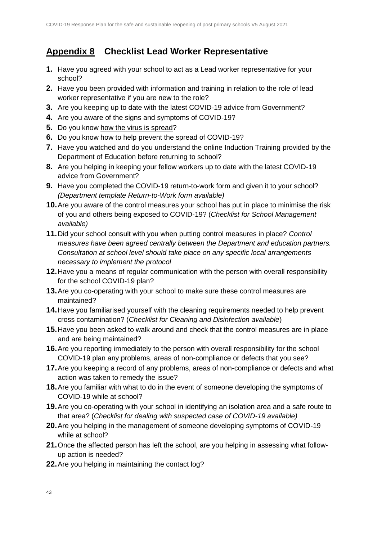# **Appendix 8 Checklist Lead Worker Representative**

- **1.** Have you agreed with your school to act as a Lead worker representative for your school?
- **2.** Have you been provided with information and training in relation to the role of lead worker representative if you are new to the role?
- **3.** Are you keeping up to date with the latest COVID-19 advice from Government?
- **4.** Are you aware of the [signs and symptoms of COVID-19?](https://www2.hse.ie/conditions/coronavirus/symptoms.html)
- **5.** Do you know [how the virus is spread?](https://www2.hse.ie/conditions/coronavirus/how-coronavirus-is-spread.html)
- **6.** Do you know how to help prevent the spread of COVID-19?
- **7.** Have you watched and do you understand the online Induction Training provided by the Department of Education before returning to school?
- **8.** Are you helping in keeping your fellow workers up to date with the latest COVID-19 advice from Government?
- **9.** Have you completed the COVID-19 return-to-work form and given it to your school? *(Department template Return-to-Work form available)*
- **10.**Are you aware of the control measures your school has put in place to minimise the risk of you and others being exposed to COVID-19? (*Checklist for School Management available)*
- **11.**Did your school consult with you when putting control measures in place? *Control measures have been agreed centrally between the Department and education partners. Consultation at school level should take place on any specific local arrangements necessary to implement the protocol*
- **12.**Have you a means of regular communication with the person with overall responsibility for the school COVID-19 plan?
- **13.**Are you co-operating with your school to make sure these control measures are maintained?
- **14.**Have you familiarised yourself with the cleaning requirements needed to help prevent cross contamination? (*Checklist for Cleaning and Disinfection available*)
- **15.**Have you been asked to walk around and check that the control measures are in place and are being maintained?
- **16.**Are you reporting immediately to the person with overall responsibility for the school COVID-19 plan any problems, areas of non-compliance or defects that you see?
- **17.**Are you keeping a record of any problems, areas of non-compliance or defects and what action was taken to remedy the issue?
- **18.**Are you familiar with what to do in the event of someone developing the symptoms of COVID-19 while at school?
- **19.**Are you co-operating with your school in identifying an isolation area and a safe route to that area? (*Checklist for dealing with suspected case of COVID-19 available)*
- **20.**Are you helping in the management of someone developing symptoms of COVID-19 while at school?
- **21.**Once the affected person has left the school, are you helping in assessing what followup action is needed?
- **22.**Are you helping in maintaining the contact log?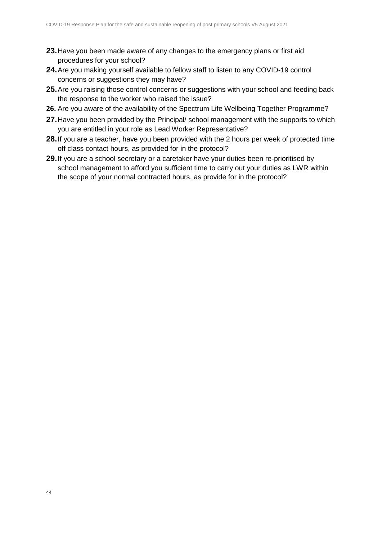- **23.**Have you been made aware of any changes to the emergency plans or first aid procedures for your school?
- **24.**Are you making yourself available to fellow staff to listen to any COVID-19 control concerns or suggestions they may have?
- **25.**Are you raising those control concerns or suggestions with your school and feeding back the response to the worker who raised the issue?
- **26.** Are you aware of the availability of the Spectrum Life Wellbeing Together Programme?
- **27.**Have you been provided by the Principal/ school management with the supports to which you are entitled in your role as Lead Worker Representative?
- **28.**If you are a teacher, have you been provided with the 2 hours per week of protected time off class contact hours, as provided for in the protocol?
- **29.**If you are a school secretary or a caretaker have your duties been re-prioritised by school management to afford you sufficient time to carry out your duties as LWR within the scope of your normal contracted hours, as provide for in the protocol?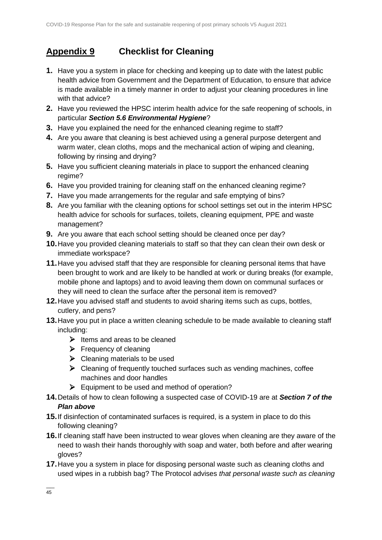# **Appendix 9 Checklist for Cleaning**

- **1.** Have you a system in place for checking and keeping up to date with the latest public health advice from Government and the Department of Education, to ensure that advice is made available in a timely manner in order to adjust your cleaning procedures in line with that advice?
- **2.** Have you reviewed the HPSC interim health advice for the safe reopening of schools, in particular *Section 5.6 Environmental Hygiene*?
- **3.** Have you explained the need for the enhanced cleaning regime to staff?
- **4.** Are you aware that cleaning is best achieved using a general purpose detergent and warm water, clean cloths, mops and the mechanical action of wiping and cleaning, following by rinsing and drying?
- **5.** Have you sufficient cleaning materials in place to support the enhanced cleaning regime?
- **6.** Have you provided training for cleaning staff on the enhanced cleaning regime?
- **7.** Have you made arrangements for the regular and safe emptying of bins?
- **8.** Are you familiar with the cleaning options for school settings set out in the interim HPSC health advice for schools for surfaces, toilets, cleaning equipment, PPE and waste management?
- **9.** Are you aware that each school setting should be cleaned once per day?
- **10.**Have you provided cleaning materials to staff so that they can clean their own desk or immediate workspace?
- **11.**Have you advised staff that they are responsible for cleaning personal items that have been brought to work and are likely to be handled at work or during breaks (for example, mobile phone and laptops) and to avoid leaving them down on communal surfaces or they will need to clean the surface after the personal item is removed?
- **12.**Have you advised staff and students to avoid sharing items such as cups, bottles, cutlery, and pens?
- **13.**Have you put in place a written cleaning schedule to be made available to cleaning staff including:
	- $\triangleright$  Items and areas to be cleaned
	- $\triangleright$  Frequency of cleaning
	- $\triangleright$  Cleaning materials to be used
	- $\triangleright$  Cleaning of frequently touched surfaces such as vending machines, coffee machines and door handles
	- $\triangleright$  Equipment to be used and method of operation?
- **14.**Details of how to clean following a suspected case of COVID-19 are at *Section 7 of the Plan above*
- **15.**If disinfection of contaminated surfaces is required, is a system in place to do this following cleaning?
- **16.**If cleaning staff have been instructed to wear gloves when cleaning are they aware of the need to wash their hands thoroughly with soap and water, both before and after wearing gloves?
- **17.**Have you a system in place for disposing personal waste such as cleaning cloths and used wipes in a rubbish bag? The Protocol advises *that personal waste such as cleaning*